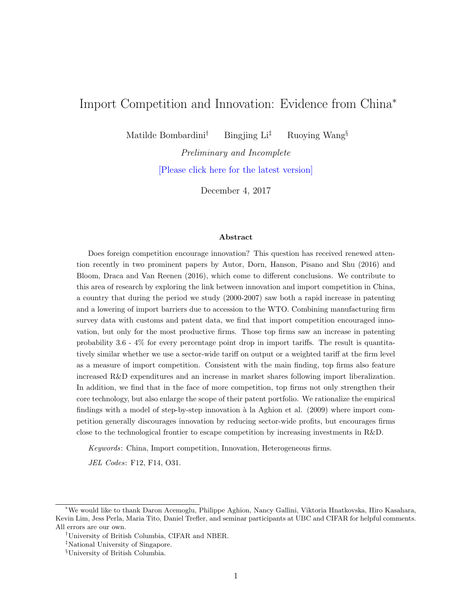# Import Competition and Innovation: Evidence from China<sup>∗</sup>

Matilde Bombardini<sup>†</sup> Bingjing Li<sup>‡</sup> Ruoying Wang<sup>§</sup>

Preliminary and Incomplete [\[Please click here for the latest version\]](https://drive.google.com/file/d/1nYqghqOgaKIksIsD4EdSCZBFSLi3P0VL/view?usp=sharing)

December 4, 2017

#### Abstract

Does foreign competition encourage innovation? This question has received renewed attention recently in two prominent papers by Autor, Dorn, Hanson, Pisano and Shu (2016) and Bloom, Draca and Van Reenen (2016), which come to different conclusions. We contribute to this area of research by exploring the link between innovation and import competition in China, a country that during the period we study (2000-2007) saw both a rapid increase in patenting and a lowering of import barriers due to accession to the WTO. Combining manufacturing firm survey data with customs and patent data, we find that import competition encouraged innovation, but only for the most productive firms. Those top firms saw an increase in patenting probability 3.6 - 4% for every percentage point drop in import tariffs. The result is quantitatively similar whether we use a sector-wide tariff on output or a weighted tariff at the firm level as a measure of import competition. Consistent with the main finding, top firms also feature increased R&D expenditures and an increase in market shares following import liberalization. In addition, we find that in the face of more competition, top firms not only strengthen their core technology, but also enlarge the scope of their patent portfolio. We rationalize the empirical findings with a model of step-by-step innovation à la Aghion et al. (2009) where import competition generally discourages innovation by reducing sector-wide profits, but encourages firms close to the technological frontier to escape competition by increasing investments in R&D.

Keywords: China, Import competition, Innovation, Heterogeneous firms.

JEL Codes: F12, F14, O31.

<sup>∗</sup>We would like to thank Daron Acemoglu, Philippe Aghion, Nancy Gallini, Viktoria Hnatkovska, Hiro Kasahara, Kevin Lim, Jess Perla, Maria Tito, Daniel Trefler, and seminar participants at UBC and CIFAR for helpful comments. All errors are our own.

<sup>†</sup>University of British Columbia, CIFAR and NBER.

<sup>‡</sup>National University of Singapore.

<sup>§</sup>University of British Columbia.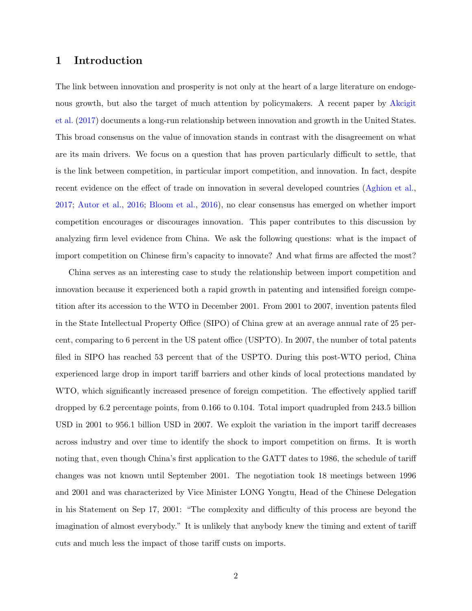## 1 Introduction

The link between innovation and prosperity is not only at the heart of a large literature on endogenous growth, but also the target of much attention by policymakers. A recent paper by [Akcigit](#page-22-0) [et al.](#page-22-0) [\(2017\)](#page-22-0) documents a long-run relationship between innovation and growth in the United States. This broad consensus on the value of innovation stands in contrast with the disagreement on what are its main drivers. We focus on a question that has proven particularly difficult to settle, that is the link between competition, in particular import competition, and innovation. In fact, despite recent evidence on the effect of trade on innovation in several developed countries [\(Aghion et al.,](#page-22-1) [2017;](#page-22-1) [Autor et al.,](#page-22-2) [2016;](#page-22-2) [Bloom et al.,](#page-23-0) [2016\)](#page-23-0), no clear consensus has emerged on whether import competition encourages or discourages innovation. This paper contributes to this discussion by analyzing firm level evidence from China. We ask the following questions: what is the impact of import competition on Chinese firm's capacity to innovate? And what firms are affected the most?

China serves as an interesting case to study the relationship between import competition and innovation because it experienced both a rapid growth in patenting and intensified foreign competition after its accession to the WTO in December 2001. From 2001 to 2007, invention patents filed in the State Intellectual Property Office (SIPO) of China grew at an average annual rate of 25 percent, comparing to 6 percent in the US patent office (USPTO). In 2007, the number of total patents filed in SIPO has reached 53 percent that of the USPTO. During this post-WTO period, China experienced large drop in import tariff barriers and other kinds of local protections mandated by WTO, which significantly increased presence of foreign competition. The effectively applied tariff dropped by 6.2 percentage points, from 0.166 to 0.104. Total import quadrupled from 243.5 billion USD in 2001 to 956.1 billion USD in 2007. We exploit the variation in the import tariff decreases across industry and over time to identify the shock to import competition on firms. It is worth noting that, even though China's first application to the GATT dates to 1986, the schedule of tariff changes was not known until September 2001. The negotiation took 18 meetings between 1996 and 2001 and was characterized by Vice Minister LONG Yongtu, Head of the Chinese Delegation in his Statement on Sep 17, 2001: "The complexity and difficulty of this process are beyond the imagination of almost everybody." It is unlikely that anybody knew the timing and extent of tariff cuts and much less the impact of those tariff custs on imports.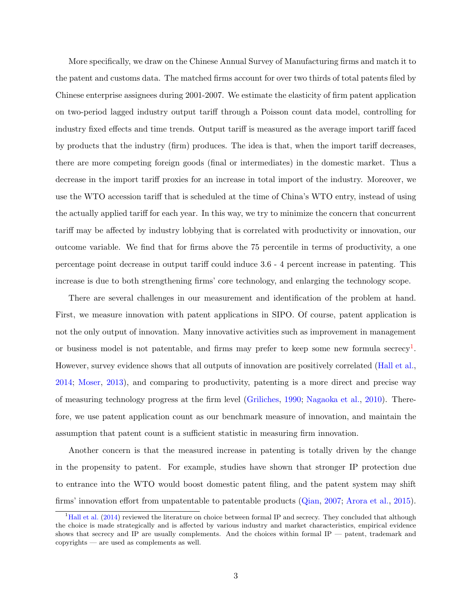More specifically, we draw on the Chinese Annual Survey of Manufacturing firms and match it to the patent and customs data. The matched firms account for over two thirds of total patents filed by Chinese enterprise assignees during 2001-2007. We estimate the elasticity of firm patent application on two-period lagged industry output tariff through a Poisson count data model, controlling for industry fixed effects and time trends. Output tariff is measured as the average import tariff faced by products that the industry (firm) produces. The idea is that, when the import tariff decreases, there are more competing foreign goods (final or intermediates) in the domestic market. Thus a decrease in the import tariff proxies for an increase in total import of the industry. Moreover, we use the WTO accession tariff that is scheduled at the time of China's WTO entry, instead of using the actually applied tariff for each year. In this way, we try to minimize the concern that concurrent tariff may be affected by industry lobbying that is correlated with productivity or innovation, our outcome variable. We find that for firms above the 75 percentile in terms of productivity, a one percentage point decrease in output tariff could induce 3.6 - 4 percent increase in patenting. This increase is due to both strengthening firms' core technology, and enlarging the technology scope.

There are several challenges in our measurement and identification of the problem at hand. First, we measure innovation with patent applications in SIPO. Of course, patent application is not the only output of innovation. Many innovative activities such as improvement in management or business model is not patentable, and firms may prefer to keep some new formula secrecy<sup>[1](#page-2-0)</sup>. However, survey evidence shows that all outputs of innovation are positively correlated [\(Hall et al.,](#page-24-0) [2014;](#page-24-0) [Moser,](#page-25-0) [2013\)](#page-25-0), and comparing to productivity, patenting is a more direct and precise way of measuring technology progress at the firm level [\(Griliches,](#page-24-1) [1990;](#page-24-1) [Nagaoka et al.,](#page-25-1) [2010\)](#page-25-1). Therefore, we use patent application count as our benchmark measure of innovation, and maintain the assumption that patent count is a sufficient statistic in measuring firm innovation.

Another concern is that the measured increase in patenting is totally driven by the change in the propensity to patent. For example, studies have shown that stronger IP protection due to entrance into the WTO would boost domestic patent filing, and the patent system may shift firms' innovation effort from unpatentable to patentable products [\(Qian,](#page-25-2) [2007;](#page-25-2) [Arora et al.,](#page-22-3) [2015\)](#page-22-3).

<span id="page-2-0"></span> $<sup>1</sup>Hall et al. (2014) reviewed the literature on choice between formal IP and secrecy. They concluded that although$  $<sup>1</sup>Hall et al. (2014) reviewed the literature on choice between formal IP and secrecy. They concluded that although$  $<sup>1</sup>Hall et al. (2014) reviewed the literature on choice between formal IP and secrecy. They concluded that although$  $<sup>1</sup>Hall et al. (2014) reviewed the literature on choice between formal IP and secrecy. They concluded that although$  $<sup>1</sup>Hall et al. (2014) reviewed the literature on choice between formal IP and secrecy. They concluded that although$ </sup> the choice is made strategically and is affected by various industry and market characteristics, empirical evidence shows that secrecy and IP are usually complements. And the choices within formal IP — patent, trademark and copyrights — are used as complements as well.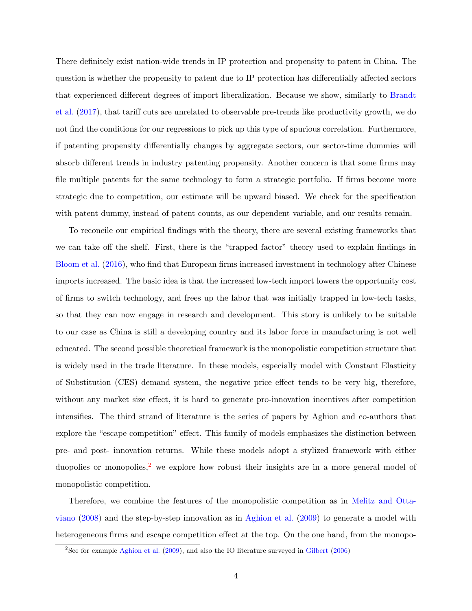There definitely exist nation-wide trends in IP protection and propensity to patent in China. The question is whether the propensity to patent due to IP protection has differentially affected sectors that experienced different degrees of import liberalization. Because we show, similarly to [Brandt](#page-23-1) [et al.](#page-23-1) [\(2017\)](#page-23-1), that tariff cuts are unrelated to observable pre-trends like productivity growth, we do not find the conditions for our regressions to pick up this type of spurious correlation. Furthermore, if patenting propensity differentially changes by aggregate sectors, our sector-time dummies will absorb different trends in industry patenting propensity. Another concern is that some firms may file multiple patents for the same technology to form a strategic portfolio. If firms become more strategic due to competition, our estimate will be upward biased. We check for the specification with patent dummy, instead of patent counts, as our dependent variable, and our results remain.

To reconcile our empirical findings with the theory, there are several existing frameworks that we can take off the shelf. First, there is the "trapped factor" theory used to explain findings in [Bloom et al.](#page-23-0) [\(2016\)](#page-23-0), who find that European firms increased investment in technology after Chinese imports increased. The basic idea is that the increased low-tech import lowers the opportunity cost of firms to switch technology, and frees up the labor that was initially trapped in low-tech tasks, so that they can now engage in research and development. This story is unlikely to be suitable to our case as China is still a developing country and its labor force in manufacturing is not well educated. The second possible theoretical framework is the monopolistic competition structure that is widely used in the trade literature. In these models, especially model with Constant Elasticity of Substitution (CES) demand system, the negative price effect tends to be very big, therefore, without any market size effect, it is hard to generate pro-innovation incentives after competition intensifies. The third strand of literature is the series of papers by Aghion and co-authors that explore the "escape competition" effect. This family of models emphasizes the distinction between pre- and post- innovation returns. While these models adopt a stylized framework with either duopolies or monopolies,<sup>[2](#page-3-0)</sup> we explore how robust their insights are in a more general model of monopolistic competition.

Therefore, we combine the features of the monopolistic competition as in [Melitz and Otta](#page-24-2)[viano](#page-24-2) [\(2008\)](#page-24-2) and the step-by-step innovation as in [Aghion et al.](#page-22-4) [\(2009\)](#page-22-4) to generate a model with heterogeneous firms and escape competition effect at the top. On the one hand, from the monopo-

<span id="page-3-0"></span><sup>&</sup>lt;sup>2</sup>See for example [Aghion et al.](#page-22-4)  $(2009)$ , and also the IO literature surveyed in [Gilbert](#page-24-3)  $(2006)$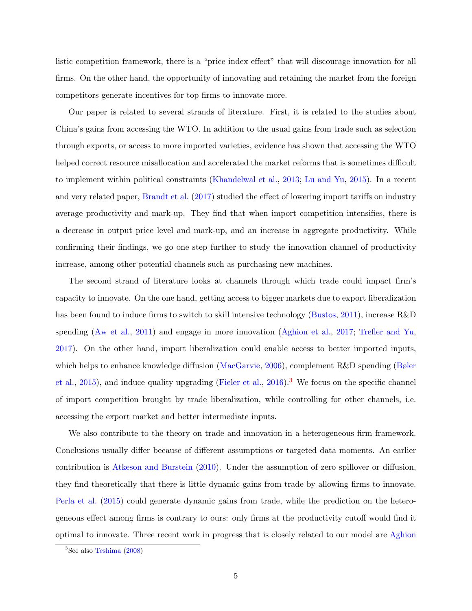listic competition framework, there is a "price index effect" that will discourage innovation for all firms. On the other hand, the opportunity of innovating and retaining the market from the foreign competitors generate incentives for top firms to innovate more.

Our paper is related to several strands of literature. First, it is related to the studies about China's gains from accessing the WTO. In addition to the usual gains from trade such as selection through exports, or access to more imported varieties, evidence has shown that accessing the WTO helped correct resource misallocation and accelerated the market reforms that is sometimes difficult to implement within political constraints [\(Khandelwal et al.,](#page-24-4) [2013;](#page-24-4) [Lu and Yu,](#page-24-5) [2015\)](#page-24-5). In a recent and very related paper, [Brandt et al.](#page-23-1) [\(2017\)](#page-23-1) studied the effect of lowering import tariffs on industry average productivity and mark-up. They find that when import competition intensifies, there is a decrease in output price level and mark-up, and an increase in aggregate productivity. While confirming their findings, we go one step further to study the innovation channel of productivity increase, among other potential channels such as purchasing new machines.

The second strand of literature looks at channels through which trade could impact firm's capacity to innovate. On the one hand, getting access to bigger markets due to export liberalization has been found to induce firms to switch to skill intensive technology [\(Bustos,](#page-23-2) [2011\)](#page-23-2), increase R&D spending [\(Aw et al.,](#page-23-3) [2011\)](#page-23-3) and engage in more innovation [\(Aghion et al.,](#page-22-1) [2017;](#page-22-1) [Trefler and Yu,](#page-25-3) [2017\)](#page-25-3). On the other hand, import liberalization could enable access to better imported inputs, which helps to enhance knowledge diffusion [\(MacGarvie,](#page-24-6) [2006\)](#page-24-6), complement R&D spending [\(Bøler](#page-23-4) [et al.,](#page-23-4) [2015\)](#page-23-4), and induce quality upgrading [\(Fieler et al.,](#page-24-7) [2016\)](#page-24-7).<sup>[3](#page-4-0)</sup> We focus on the specific channel of import competition brought by trade liberalization, while controlling for other channels, i.e. accessing the export market and better intermediate inputs.

We also contribute to the theory on trade and innovation in a heterogeneous firm framework. Conclusions usually differ because of different assumptions or targeted data moments. An earlier contribution is [Atkeson and Burstein](#page-22-5) [\(2010\)](#page-22-5). Under the assumption of zero spillover or diffusion, they find theoretically that there is little dynamic gains from trade by allowing firms to innovate. [Perla et al.](#page-25-4) [\(2015\)](#page-25-4) could generate dynamic gains from trade, while the prediction on the heterogeneous effect among firms is contrary to ours: only firms at the productivity cutoff would find it optimal to innovate. Three recent work in progress that is closely related to our model are [Aghion](#page-22-1)

<span id="page-4-0"></span> ${}^{3}$ See also [Teshima](#page-22-1) [\(2008\)](#page-25-5)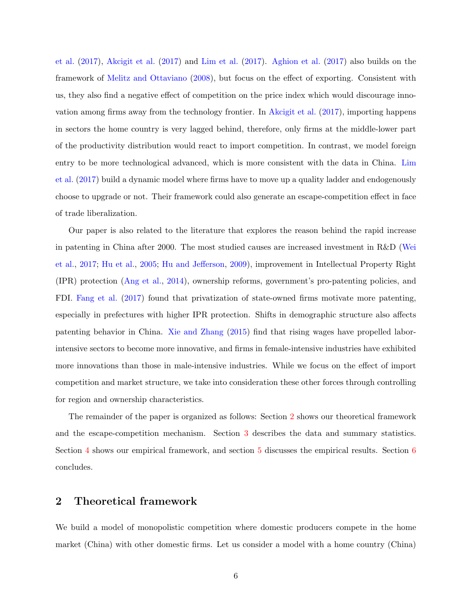[et al.](#page-22-1) [\(2017\)](#page-22-1), [Akcigit et al.](#page-22-6) [\(2017\)](#page-22-6) and [Lim et al.](#page-24-8) [\(2017\)](#page-24-8). [Aghion et al.](#page-22-1) [\(2017\)](#page-22-1) also builds on the framework of [Melitz and Ottaviano](#page-24-2) [\(2008\)](#page-24-2), but focus on the effect of exporting. Consistent with us, they also find a negative effect of competition on the price index which would discourage innovation among firms away from the technology frontier. In [Akcigit et al.](#page-22-6) [\(2017\)](#page-22-6), importing happens in sectors the home country is very lagged behind, therefore, only firms at the middle-lower part of the productivity distribution would react to import competition. In contrast, we model foreign entry to be more technological advanced, which is more consistent with the data in China. [Lim](#page-24-8) [et al.](#page-24-8) [\(2017\)](#page-24-8) build a dynamic model where firms have to move up a quality ladder and endogenously choose to upgrade or not. Their framework could also generate an escape-competition effect in face of trade liberalization.

Our paper is also related to the literature that explores the reason behind the rapid increase in patenting in China after 2000. The most studied causes are increased investment in R&D [\(Wei](#page-25-6) [et al.,](#page-25-6) [2017;](#page-25-6) [Hu et al.,](#page-24-9) [2005;](#page-24-9) [Hu and Jefferson,](#page-24-10) [2009\)](#page-24-10), improvement in Intellectual Property Right (IPR) protection [\(Ang et al.,](#page-22-7) [2014\)](#page-22-7), ownership reforms, government's pro-patenting policies, and FDI. [Fang et al.](#page-23-5) [\(2017\)](#page-23-5) found that privatization of state-owned firms motivate more patenting, especially in prefectures with higher IPR protection. Shifts in demographic structure also affects patenting behavior in China. [Xie and Zhang](#page-25-7) [\(2015\)](#page-25-7) find that rising wages have propelled laborintensive sectors to become more innovative, and firms in female-intensive industries have exhibited more innovations than those in male-intensive industries. While we focus on the effect of import competition and market structure, we take into consideration these other forces through controlling for region and ownership characteristics.

The remainder of the paper is organized as follows: Section [2](#page-5-0) shows our theoretical framework and the escape-competition mechanism. Section [3](#page-11-0) describes the data and summary statistics. Section [4](#page-16-0) shows our empirical framework, and section [5](#page-18-0) discusses the empirical results. Section [6](#page-21-0) concludes.

## <span id="page-5-0"></span>2 Theoretical framework

We build a model of monopolistic competition where domestic producers compete in the home market (China) with other domestic firms. Let us consider a model with a home country (China)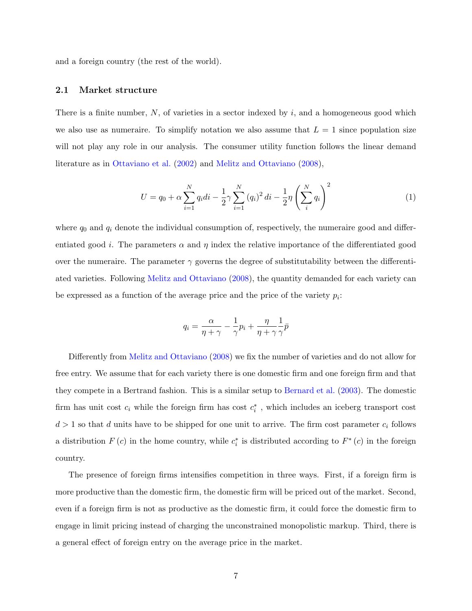and a foreign country (the rest of the world).

#### 2.1 Market structure

There is a finite number,  $N$ , of varieties in a sector indexed by i, and a homogeneous good which we also use as numeraire. To simplify notation we also assume that  $L = 1$  since population size will not play any role in our analysis. The consumer utility function follows the linear demand literature as in [Ottaviano et al.](#page-25-8) [\(2002\)](#page-25-8) and [Melitz and Ottaviano](#page-24-2) [\(2008\)](#page-24-2),

$$
U = q_0 + \alpha \sum_{i=1}^{N} q_i di - \frac{1}{2} \gamma \sum_{i=1}^{N} (q_i)^2 di - \frac{1}{2} \eta \left( \sum_{i=1}^{N} q_i \right)^2
$$
 (1)

where  $q_0$  and  $q_i$  denote the individual consumption of, respectively, the numeraire good and differentiated good *i*. The parameters  $\alpha$  and  $\eta$  index the relative importance of the differentiated good over the numeraire. The parameter  $\gamma$  governs the degree of substitutability between the differentiated varieties. Following [Melitz and Ottaviano](#page-24-2) [\(2008\)](#page-24-2), the quantity demanded for each variety can be expressed as a function of the average price and the price of the variety  $p_i$ :

$$
q_i = \frac{\alpha}{\eta + \gamma} - \frac{1}{\gamma} p_i + \frac{\eta}{\eta + \gamma} \frac{1}{\gamma} \bar{p}
$$

Differently from [Melitz and Ottaviano](#page-24-2) [\(2008\)](#page-24-2) we fix the number of varieties and do not allow for free entry. We assume that for each variety there is one domestic firm and one foreign firm and that they compete in a Bertrand fashion. This is a similar setup to [Bernard et al.](#page-23-6) [\(2003\)](#page-23-6). The domestic firm has unit cost  $c_i$  while the foreign firm has cost  $c_i^*$ , which includes an iceberg transport cost  $d > 1$  so that d units have to be shipped for one unit to arrive. The firm cost parameter  $c_i$  follows a distribution  $F(c)$  in the home country, while  $c_i^*$  is distributed according to  $F^*(c)$  in the foreign country.

The presence of foreign firms intensifies competition in three ways. First, if a foreign firm is more productive than the domestic firm, the domestic firm will be priced out of the market. Second, even if a foreign firm is not as productive as the domestic firm, it could force the domestic firm to engage in limit pricing instead of charging the unconstrained monopolistic markup. Third, there is a general effect of foreign entry on the average price in the market.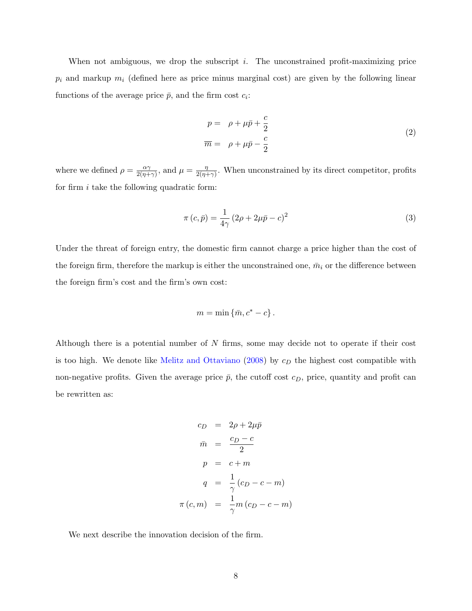When not ambiguous, we drop the subscript  $i$ . The unconstrained profit-maximizing price  $p_i$  and markup  $m_i$  (defined here as price minus marginal cost) are given by the following linear functions of the average price  $\bar{p}$ , and the firm cost  $c_i$ :

$$
p = \rho + \mu \bar{p} + \frac{c}{2}
$$
  
\n
$$
\overline{m} = \rho + \mu \bar{p} - \frac{c}{2}
$$
\n(2)

where we defined  $\rho = \frac{\alpha \gamma}{2(n+1)}$  $\frac{\alpha \gamma}{2(\eta + \gamma)}$ , and  $\mu = \frac{\eta}{2(\eta + \gamma)}$  $\frac{\eta}{2(\eta+\gamma)}$ . When unconstrained by its direct competitor, profits for firm  $i$  take the following quadratic form:

$$
\pi(c,\bar{p}) = \frac{1}{4\gamma} \left(2\rho + 2\mu\bar{p} - c\right)^2
$$
\n(3)

Under the threat of foreign entry, the domestic firm cannot charge a price higher than the cost of the foreign firm, therefore the markup is either the unconstrained one,  $\bar{m}_i$  or the difference between the foreign firm's cost and the firm's own cost:

$$
m = \min \left\{ \bar{m}, c^* - c \right\}.
$$

Although there is a potential number of  $N$  firms, some may decide not to operate if their cost is too high. We denote like [Melitz and Ottaviano](#page-24-2)  $(2008)$  by  $c<sub>D</sub>$  the highest cost compatible with non-negative profits. Given the average price  $\bar{p}$ , the cutoff cost  $c_D$ , price, quantity and profit can be rewritten as:

$$
c_D = 2\rho + 2\mu \bar{p}
$$
  
\n
$$
\bar{m} = \frac{c_D - c}{2}
$$
  
\n
$$
p = c + m
$$
  
\n
$$
q = \frac{1}{\gamma} (c_D - c - m)
$$
  
\n
$$
\pi (c, m) = \frac{1}{\gamma} m (c_D - c - m)
$$

We next describe the innovation decision of the firm.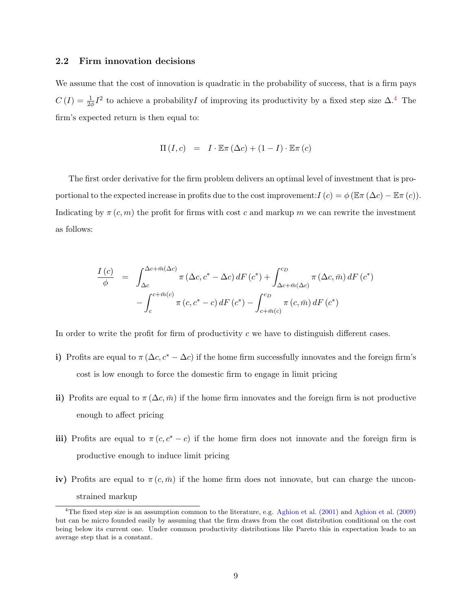## 2.2 Firm innovation decisions

We assume that the cost of innovation is quadratic in the probability of success, that is a firm pays  $C(I) = \frac{1}{2\phi}I^2$  to achieve a probability of improving its productivity by a fixed step size  $\Delta$ .<sup>[4](#page-8-0)</sup> The firm's expected return is then equal to:

$$
\Pi(I, c) = I \cdot \mathbb{E}\pi(\Delta c) + (1 - I) \cdot \mathbb{E}\pi(c)
$$

The first order derivative for the firm problem delivers an optimal level of investment that is proportional to the expected increase in profits due to the cost improvement:  $I(c) = \phi (\mathbb{E} \pi (\Delta c) - \mathbb{E} \pi (c)).$ Indicating by  $\pi(c, m)$  the profit for firms with cost c and markup m we can rewrite the investment as follows:

$$
\frac{I(c)}{\phi} = \int_{\Delta c}^{\Delta c + \bar{m}(\Delta c)} \pi (\Delta c, c^* - \Delta c) dF(c^*) + \int_{\Delta c + \bar{m}(\Delta c)}^{c_D} \pi (\Delta c, \bar{m}) dF(c^*)
$$

$$
- \int_{c}^{c + \bar{m}(c)} \pi (c, c^* - c) dF(c^*) - \int_{c + \bar{m}(c)}^{c_D} \pi (c, \bar{m}) dF(c^*)
$$

In order to write the profit for firm of productivity  $c$  we have to distinguish different cases.

- i) Profits are equal to  $\pi (\Delta c, c^* \Delta c)$  if the home firm successfully innovates and the foreign firm's cost is low enough to force the domestic firm to engage in limit pricing
- ii) Profits are equal to  $\pi(\Delta c, \bar{m})$  if the home firm innovates and the foreign firm is not productive enough to affect pricing
- iii) Profits are equal to  $\pi (c, c^* c)$  if the home firm does not innovate and the foreign firm is productive enough to induce limit pricing
- iv) Profits are equal to  $\pi(c, \bar{m})$  if the home firm does not innovate, but can charge the unconstrained markup

<span id="page-8-0"></span><sup>&</sup>lt;sup>4</sup>The fixed step size is an assumption common to the literature, e.g. [Aghion et al.](#page-22-4)  $(2001)$  and Aghion et al.  $(2009)$ but can be micro founded easily by assuming that the firm draws from the cost distribution conditional on the cost being below its current one. Under common productivity distributions like Pareto this in expectation leads to an average step that is a constant.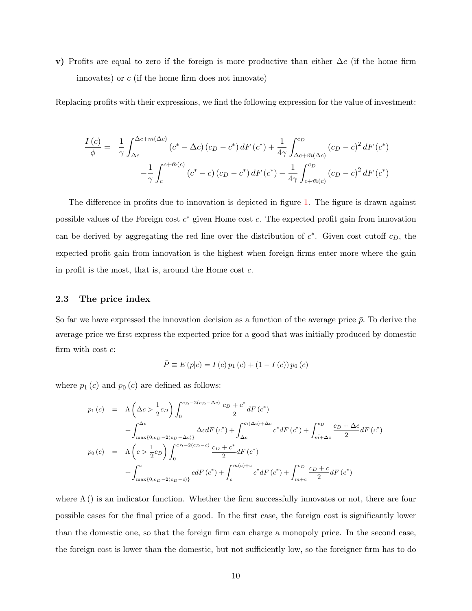v) Profits are equal to zero if the foreign is more productive than either  $\Delta c$  (if the home firm innovates) or  $c$  (if the home firm does not innovate)

Replacing profits with their expressions, we find the following expression for the value of investment:

$$
\frac{I(c)}{\phi} = \frac{1}{\gamma} \int_{\Delta c}^{\Delta c + \bar{m}(\Delta c)} (c^* - \Delta c) (c_D - c^*) dF(c^*) + \frac{1}{4\gamma} \int_{\Delta c + \bar{m}(\Delta c)}^{c_D} (c_D - c)^2 dF(c^*)
$$

$$
- \frac{1}{\gamma} \int_{c}^{c + \bar{m}(c)} (c^* - c) (c_D - c^*) dF(c^*) - \frac{1}{4\gamma} \int_{c + \bar{m}(c)}^{c_D} (c_D - c)^2 dF(c^*)
$$

The difference in profits due to innovation is depicted in figure [1.](#page-26-0) The figure is drawn against possible values of the Foreign cost  $c^*$  given Home cost  $c$ . The expected profit gain from innovation can be derived by aggregating the red line over the distribution of  $c^*$ . Given cost cutoff  $c_D$ , the expected profit gain from innovation is the highest when foreign firms enter more where the gain in profit is the most, that is, around the Home cost  $c$ .

### 2.3 The price index

So far we have expressed the innovation decision as a function of the average price  $\bar{p}$ . To derive the average price we first express the expected price for a good that was initially produced by domestic firm with cost  $c$ :

$$
\bar{P} \equiv E(p|c) = I(c) p_1(c) + (1 - I(c)) p_0(c)
$$

where  $p_1(c)$  and  $p_0(c)$  are defined as follows:

$$
p_{1}(c) = \Lambda \left(\Delta c > \frac{1}{2}c_{D}\right) \int_{0}^{c_{D}-2(c_{D}-\Delta c)} \frac{c_{D}+c^{*}}{2} dF(c^{*}) + \int_{\max\{0,c_{D}-2(c_{D}-\Delta c)\}}^{\Delta c} \Delta c dF(c^{*}) + \int_{\Delta c}^{\bar{m}(\Delta c)+\Delta c} c^{*} dF(c^{*}) + \int_{\bar{m}+\Delta c}^{c_{D}} \frac{c_{D}+\Delta c}{2} dF(c^{*}) + \int_{\max\{0,c_{D}-2(c_{D}-c)\}}^{c_{D}-2(c_{D}-c)} \frac{c_{D}+c^{*}}{2} dF(c^{*}) + \int_{\bar{m}+\Delta c}^{c_{D}} \frac{c_{D}+c}{2} dF(c^{*}) + \int_{\max\{0,c_{D}-2(c_{D}-c)\}}^{c_{D}-2(c_{D}-c)} c dF(c^{*}) + \int_{c}^{\bar{m}(c)+c} c^{*} dF(c^{*}) + \int_{\bar{m}+c}^{c_{D}} \frac{c_{D}+c}{2} dF(c^{*})
$$

where  $\Lambda$  () is an indicator function. Whether the firm successfully innovates or not, there are four possible cases for the final price of a good. In the first case, the foreign cost is significantly lower than the domestic one, so that the foreign firm can charge a monopoly price. In the second case, the foreign cost is lower than the domestic, but not sufficiently low, so the foreigner firm has to do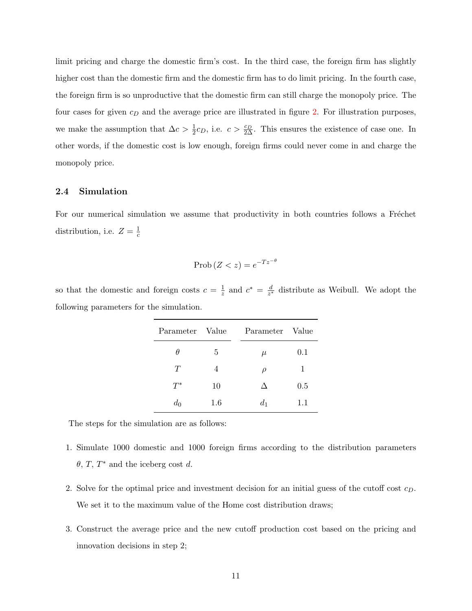limit pricing and charge the domestic firm's cost. In the third case, the foreign firm has slightly higher cost than the domestic firm and the domestic firm has to do limit pricing. In the fourth case, the foreign firm is so unproductive that the domestic firm can still charge the monopoly price. The four cases for given  $c_D$  and the average price are illustrated in figure [2.](#page-26-1) For illustration purposes, we make the assumption that  $\Delta c > \frac{1}{2}c_D$ , i.e.  $c > \frac{c_D}{2\Delta}$ . This ensures the existence of case one. In other words, if the domestic cost is low enough, foreign firms could never come in and charge the monopoly price.

## 2.4 Simulation

For our numerical simulation we assume that productivity in both countries follows a Fréchet distribution, i.e.  $Z = \frac{1}{6}$ c

$$
\text{Prob}\left(Z < z\right) = e^{-Tz^{-\theta}}
$$

so that the domestic and foreign costs  $c = \frac{1}{z}$  $\frac{1}{z}$  and  $c^* = \frac{d}{z^*}$  $\frac{d}{z^*}$  distribute as Weibull. We adopt the following parameters for the simulation.

| Parameter Value |     | Parameter Value |         |
|-----------------|-----|-----------------|---------|
| θ               | 5   | $\mu$           | $0.1\,$ |
| T               | 4   | $\rho$          | 1       |
| $T^*$           | 10  | Л               | $0.5\,$ |
| $d_0$           | 1.6 | $d_1$           | 1.1     |

The steps for the simulation are as follows:

- 1. Simulate 1000 domestic and 1000 foreign firms according to the distribution parameters  $\theta$ , T, T<sup>\*</sup> and the iceberg cost d.
- 2. Solve for the optimal price and investment decision for an initial guess of the cutoff cost  $c_D$ . We set it to the maximum value of the Home cost distribution draws;
- 3. Construct the average price and the new cutoff production cost based on the pricing and innovation decisions in step 2;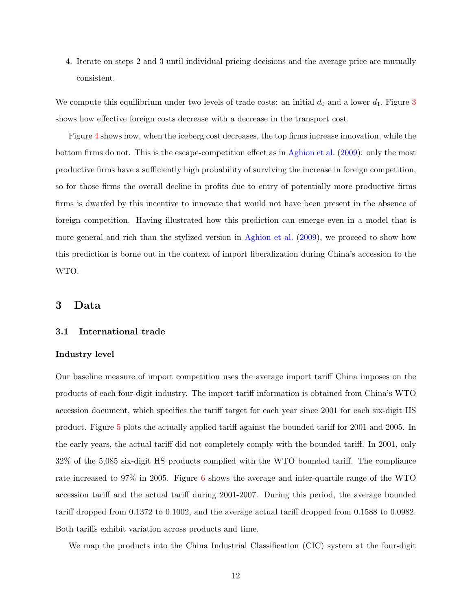4. Iterate on steps 2 and 3 until individual pricing decisions and the average price are mutually consistent.

We compute this equilibrium under two levels of trade costs: an initial  $d_0$  and a lower  $d_1$ . Figure [3](#page-27-0) shows how effective foreign costs decrease with a decrease in the transport cost.

Figure [4](#page-27-1) shows how, when the iceberg cost decreases, the top firms increase innovation, while the bottom firms do not. This is the escape-competition effect as in [Aghion et al.](#page-22-4) [\(2009\)](#page-22-4): only the most productive firms have a sufficiently high probability of surviving the increase in foreign competition, so for those firms the overall decline in profits due to entry of potentially more productive firms firms is dwarfed by this incentive to innovate that would not have been present in the absence of foreign competition. Having illustrated how this prediction can emerge even in a model that is more general and rich than the stylized version in [Aghion et al.](#page-22-4)  $(2009)$ , we proceed to show how this prediction is borne out in the context of import liberalization during China's accession to the WTO.

## <span id="page-11-0"></span>3 Data

## 3.1 International trade

#### Industry level

Our baseline measure of import competition uses the average import tariff China imposes on the products of each four-digit industry. The import tariff information is obtained from China's WTO accession document, which specifies the tariff target for each year since 2001 for each six-digit HS product. Figure [5](#page-28-0) plots the actually applied tariff against the bounded tariff for 2001 and 2005. In the early years, the actual tariff did not completely comply with the bounded tariff. In 2001, only 32% of the 5,085 six-digit HS products complied with the WTO bounded tariff. The compliance rate increased to 97% in 2005. Figure [6](#page-28-1) shows the average and inter-quartile range of the WTO accession tariff and the actual tariff during 2001-2007. During this period, the average bounded tariff dropped from 0.1372 to 0.1002, and the average actual tariff dropped from 0.1588 to 0.0982. Both tariffs exhibit variation across products and time.

We map the products into the China Industrial Classification (CIC) system at the four-digit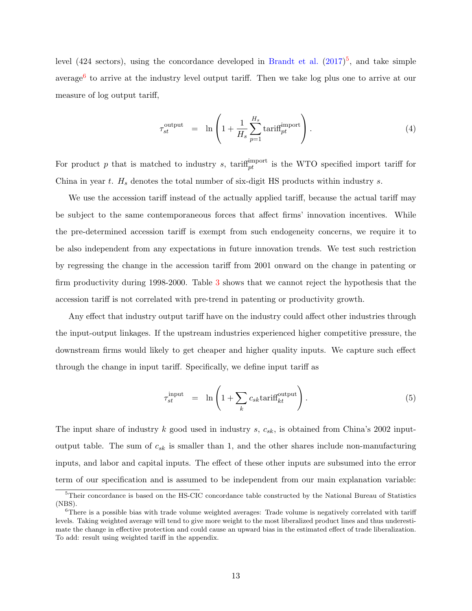level (424 sectors), using the concordance developed in [Brandt et al.](#page-23-1)  $(2017)^5$  $(2017)^5$  $(2017)^5$ , and take simple average<sup>[6](#page-12-1)</sup> to arrive at the industry level output tariff. Then we take log plus one to arrive at our measure of log output tariff,

<span id="page-12-3"></span>
$$
\tau_{st}^{\text{output}} = \ln \left( 1 + \frac{1}{H_s} \sum_{p=1}^{H_s} \text{tariff}^{\text{import}}_{pt} \right). \tag{4}
$$

For product p that is matched to industry s, tariff<sup>import</sup> is the WTO specified import tariff for China in year  $t$ .  $H_s$  denotes the total number of six-digit HS products within industry  $s$ .

We use the accession tariff instead of the actually applied tariff, because the actual tariff may be subject to the same contemporaneous forces that affect firms' innovation incentives. While the pre-determined accession tariff is exempt from such endogeneity concerns, we require it to be also independent from any expectations in future innovation trends. We test such restriction by regressing the change in the accession tariff from 2001 onward on the change in patenting or firm productivity during 1998-2000. Table [3](#page-30-0) shows that we cannot reject the hypothesis that the accession tariff is not correlated with pre-trend in patenting or productivity growth.

Any effect that industry output tariff have on the industry could affect other industries through the input-output linkages. If the upstream industries experienced higher competitive pressure, the downstream firms would likely to get cheaper and higher quality inputs. We capture such effect through the change in input tariff. Specifically, we define input tariff as

<span id="page-12-2"></span>
$$
\tau_{st}^{\text{input}} = \ln\left(1 + \sum_{k} c_{sk} \text{tariff}_{kt}^{\text{output}}\right). \tag{5}
$$

The input share of industry k good used in industry s,  $c_{sk}$ , is obtained from China's 2002 inputoutput table. The sum of  $c_{sk}$  is smaller than 1, and the other shares include non-manufacturing inputs, and labor and capital inputs. The effect of these other inputs are subsumed into the error term of our specification and is assumed to be independent from our main explanation variable:

<span id="page-12-0"></span><sup>&</sup>lt;sup>5</sup>Their concordance is based on the HS-CIC concordance table constructed by the National Bureau of Statistics (NBS).

<span id="page-12-1"></span><sup>&</sup>lt;sup>6</sup>There is a possible bias with trade volume weighted averages: Trade volume is negatively correlated with tariff levels. Taking weighted average will tend to give more weight to the most liberalized product lines and thus underestimate the change in effective protection and could cause an upward bias in the estimated effect of trade liberalization. To add: result using weighted tariff in the appendix.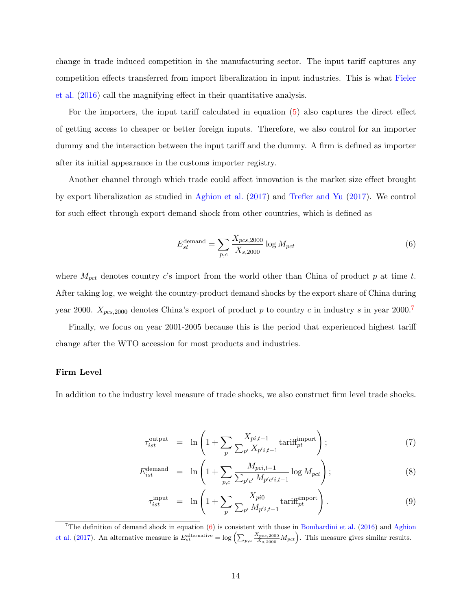change in trade induced competition in the manufacturing sector. The input tariff captures any competition effects transferred from import liberalization in input industries. This is what [Fieler](#page-24-7) [et al.](#page-24-7) [\(2016\)](#page-24-7) call the magnifying effect in their quantitative analysis.

For the importers, the input tariff calculated in equation [\(5\)](#page-12-2) also captures the direct effect of getting access to cheaper or better foreign inputs. Therefore, we also control for an importer dummy and the interaction between the input tariff and the dummy. A firm is defined as importer after its initial appearance in the customs importer registry.

Another channel through which trade could affect innovation is the market size effect brought by export liberalization as studied in [Aghion et al.](#page-22-1) [\(2017\)](#page-22-1) and [Trefler and Yu](#page-25-3) [\(2017\)](#page-25-3). We control for such effect through export demand shock from other countries, which is defined as

<span id="page-13-1"></span>
$$
E_{st}^{\text{demand}} = \sum_{p,c} \frac{X_{pcs,2000}}{X_{s,2000}} \log M_{pct} \tag{6}
$$

where  $M_{\text{pot}}$  denotes country c's import from the world other than China of product p at time t. After taking log, we weight the country-product demand shocks by the export share of China during year 2000.  $X_{pcs,2000}$  denotes China's export of product p to country c in industry s in year 2000.<sup>[7](#page-13-0)</sup>

Finally, we focus on year 2001-2005 because this is the period that experienced highest tariff change after the WTO accession for most products and industries.

#### Firm Level

In addition to the industry level measure of trade shocks, we also construct firm level trade shocks.

<span id="page-13-2"></span>
$$
\tau_{ist}^{\text{output}} = \ln\left(1 + \sum_{p} \frac{X_{pi,t-1}}{\sum_{p'} X_{p'i,t-1}} \text{tariff}^{\text{import}}_{pt}\right); \tag{7}
$$

$$
E_{ist}^{\text{demand}} = \ln\left(1 + \sum_{p,c} \frac{M_{pci,t-1}}{\sum_{p'c'} M_{p'c'i,t-1}} \log M_{pct}\right);
$$
\n(8)

$$
\tau_{ist}^{\text{input}} = \ln\left(1 + \sum_{p} \frac{X_{pi0}}{\sum_{p'} M_{p'i, t-1}} \text{tariff}^{\text{import}}_{pt}\right). \tag{9}
$$

<span id="page-13-0"></span><sup>&</sup>lt;sup>7</sup>The definition of demand shock in equation  $(6)$  is consistent with those in [Bombardini et al.](#page-23-7) [\(2016\)](#page-23-7) and [Aghion](#page-22-1) [et al.](#page-22-1) [\(2017\)](#page-22-1). An alternative measure is  $E_{st}^{\text{alternative}} = \log \left( \sum_{p,c} \frac{X_{pcs,2000}}{X_{s,2000}} M_{pct} \right)$ . This measure gives similar results.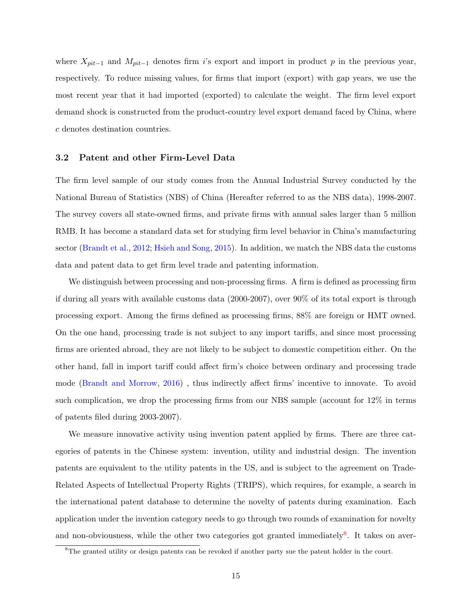where  $X_{pit-1}$  and  $M_{pit-1}$  denotes firm i's export and import in product p in the previous year, respectively. To reduce missing values, for firms that import (export) with gap years, we use the most recent year that it had imported (exported) to calculate the weight. The firm level export demand shock is constructed from the product-country level export demand faced by China, where c denotes destination countries.

### 3.2 Patent and other Firm-Level Data

The firm level sample of our study comes from the Annual Industrial Survey conducted by the National Bureau of Statistics (NBS) of China (Hereafter referred to as the NBS data), 1998-2007. The survey covers all state-owned firms, and private firms with annual sales larger than 5 million RMB. It has become a standard data set for studying firm level behavior in China's manufacturing sector [\(Brandt et al.,](#page-23-8) [2012;](#page-23-8) [Hsieh and Song,](#page-24-11) [2015\)](#page-24-11). In addition, we match the NBS data the customs data and patent data to get firm level trade and patenting information.

We distinguish between processing and non-processing firms. A firm is defined as processing firm if during all years with available customs data (2000-2007), over 90% of its total export is through processing export. Among the firms defined as processing firms, 88% are foreign or HMT owned. On the one hand, processing trade is not subject to any import tariffs, and since most processing firms are oriented abroad, they are not likely to be subject to domestic competition either. On the other hand, fall in import tariff could affect firm's choice between ordinary and processing trade mode [\(Brandt and Morrow,](#page-23-9) [2016\)](#page-23-9) , thus indirectly affect firms' incentive to innovate. To avoid such complication, we drop the processing firms from our NBS sample (account for 12% in terms of patents filed during 2003-2007).

We measure innovative activity using invention patent applied by firms. There are three categories of patents in the Chinese system: invention, utility and industrial design. The invention patents are equivalent to the utility patents in the US, and is subject to the agreement on Trade-Related Aspects of Intellectual Property Rights (TRIPS), which requires, for example, a search in the international patent database to determine the novelty of patents during examination. Each application under the invention category needs to go through two rounds of examination for novelty and non-obviousness, while the other two categories got granted immediately<sup>[8](#page-14-0)</sup>. It takes on aver-

<span id="page-14-0"></span><sup>&</sup>lt;sup>8</sup>The granted utility or design patents can be revoked if another party sue the patent holder in the court.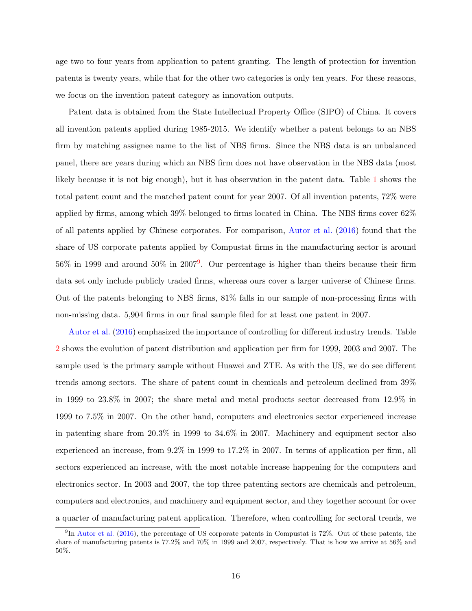age two to four years from application to patent granting. The length of protection for invention patents is twenty years, while that for the other two categories is only ten years. For these reasons, we focus on the invention patent category as innovation outputs.

Patent data is obtained from the State Intellectual Property Office (SIPO) of China. It covers all invention patents applied during 1985-2015. We identify whether a patent belongs to an NBS firm by matching assignee name to the list of NBS firms. Since the NBS data is an unbalanced panel, there are years during which an NBS firm does not have observation in the NBS data (most likely because it is not big enough), but it has observation in the patent data. Table [1](#page-29-0) shows the total patent count and the matched patent count for year 2007. Of all invention patents, 72% were applied by firms, among which 39% belonged to firms located in China. The NBS firms cover 62% of all patents applied by Chinese corporates. For comparison, [Autor et al.](#page-22-2) [\(2016\)](#page-22-2) found that the share of US corporate patents applied by Compustat firms in the manufacturing sector is around  $56\%$  in 1[9](#page-15-0)99 and around  $50\%$  in  $2007<sup>9</sup>$ . Our percentage is higher than theirs because their firm data set only include publicly traded firms, whereas ours cover a larger universe of Chinese firms. Out of the patents belonging to NBS firms, 81% falls in our sample of non-processing firms with non-missing data. 5,904 firms in our final sample filed for at least one patent in 2007.

[Autor et al.](#page-22-2) [\(2016\)](#page-22-2) emphasized the importance of controlling for different industry trends. Table [2](#page-29-1) shows the evolution of patent distribution and application per firm for 1999, 2003 and 2007. The sample used is the primary sample without Huawei and ZTE. As with the US, we do see different trends among sectors. The share of patent count in chemicals and petroleum declined from 39% in 1999 to 23.8% in 2007; the share metal and metal products sector decreased from 12.9% in 1999 to 7.5% in 2007. On the other hand, computers and electronics sector experienced increase in patenting share from 20.3% in 1999 to 34.6% in 2007. Machinery and equipment sector also experienced an increase, from 9.2% in 1999 to 17.2% in 2007. In terms of application per firm, all sectors experienced an increase, with the most notable increase happening for the computers and electronics sector. In 2003 and 2007, the top three patenting sectors are chemicals and petroleum, computers and electronics, and machinery and equipment sector, and they together account for over a quarter of manufacturing patent application. Therefore, when controlling for sectoral trends, we

<span id="page-15-0"></span><sup>&</sup>lt;sup>9</sup>In [Autor et al.](#page-22-2) [\(2016\)](#page-22-2), the percentage of US corporate patents in Compustat is 72%. Out of these patents, the share of manufacturing patents is 77.2% and 70% in 1999 and 2007, respectively. That is how we arrive at 56% and 50%.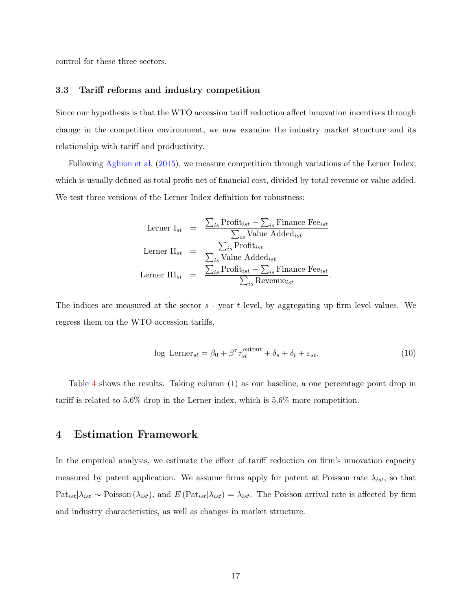control for these three sectors.

## 3.3 Tariff reforms and industry competition

Since our hypothesis is that the WTO accession tariff reduction affect innovation incentives through change in the competition environment, we now examine the industry market structure and its relationship with tariff and productivity.

Following [Aghion et al.](#page-22-9) [\(2015\)](#page-22-9), we measure competition through variations of the Lerner Index, which is usually defined as total profit net of financial cost, divided by total revenue or value added. We test three versions of the Lerner Index definition for robustness:

Lerner 
$$
I_{st}
$$
 =  $\frac{\sum_{is} \text{Profit}_{ist} - \sum_{is} \text{Finance Free}_{ist}}{\sum_{is} \text{Value added}_{ist}}$   
\nLerner  $\Pi_{st}$  =  $\frac{\sum_{is} \text{Profit}_{ist}}{\sum_{is} \text{Value added}_{ist}}$   
\nLerner  $\Pi I_{st}$  =  $\frac{\sum_{is} \text{Profit}_{ist} - \sum_{is} \text{Finance Free}_{ist}}{\sum_{is} \text{ Revenue}_{ist}}$ .

The indices are measured at the sector  $s$  - year  $t$  level, by aggregating up firm level values. We regress them on the WTO accession tariffs,

$$
\log \text{Lerner}_{st} = \beta_0 + \beta^\tau \tau_{st}^{\text{output}} + \delta_s + \delta_t + \varepsilon_{st}.\tag{10}
$$

Table [4](#page-30-1) shows the results. Taking column (1) as our baseline, a one percentage point drop in tariff is related to 5.6% drop in the Lerner index, which is 5.6% more competition.

## <span id="page-16-0"></span>4 Estimation Framework

In the empirical analysis, we estimate the effect of tariff reduction on firm's innovation capacity measured by patent application. We assume firms apply for patent at Poisson rate  $\lambda_{ist}$ , so that  $\text{Pat}_{ist}|\lambda_{ist} \sim \text{Poisson}(\lambda_{ist})$ , and  $E(\text{Pat}_{ist}|\lambda_{ist}) = \lambda_{ist}$ . The Poisson arrival rate is affected by firm and industry characteristics, as well as changes in market structure.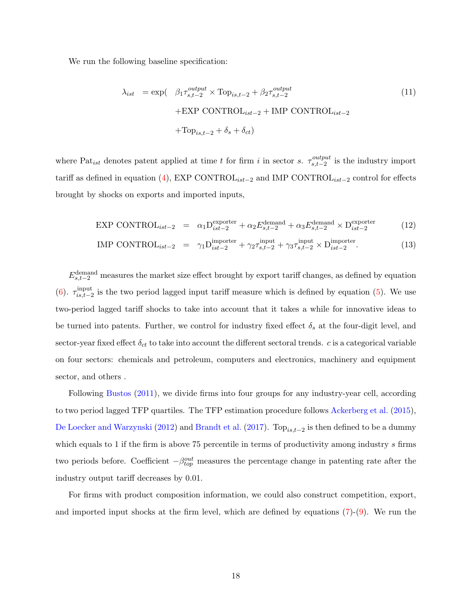We run the following baseline specification:

<span id="page-17-0"></span>
$$
\lambda_{ist} = \exp\left(-\beta_1 \tau_{s,t-2}^{output} \times \text{Top}_{is,t-2} + \beta_2 \tau_{s,t-2}^{output}\right)
$$
  
+EXP CONTROL<sub>ist-2</sub> + IMP CONTROL<sub>ist-2</sub>  
+Top<sub>is,t-2</sub> +  $\delta_s$  +  $\delta_{ct}$ ) (11)

where Pat<sub>ist</sub> denotes patent applied at time t for firm i in sector s.  $\tau_{s,t-2}^{output}$  $\sum_{s,t-2}^{output}$  is the industry import tariff as defined in equation [\(4\)](#page-12-3), EXP CONTROL<sub>ist-2</sub> and IMP CONTROL<sub>ist-2</sub> control for effects brought by shocks on exports and imported inputs,

$$
\text{EXP CONTROL}_{ist-2} = \alpha_1 \mathcal{D}_{ist-2}^{\text{exporter}} + \alpha_2 E_{s,t-2}^{\text{demand}} + \alpha_3 E_{s,t-2}^{\text{demand}} \times \mathcal{D}_{ist-2}^{\text{exporter}} \tag{12}
$$

IMP CONTROL<sub>ist-2</sub> = 
$$
\gamma_1 D_{ist-2}^{import}
$$
 +  $\gamma_2 \tau_{s,t-2}^{input}$  +  $\gamma_3 \tau_{s,t-2}^{input}$  ×  $D_{ist-2}^{import}$ . (13)

 $E_{s,t-2}^{\text{demand}}$  measures the market size effect brought by export tariff changes, as defined by equation [\(6\)](#page-13-1).  $\tau_{is\ t-2}^{\text{input}}$ <sup>input</sup> is the two period lagged input tariff measure which is defined by equation [\(5\)](#page-12-2). We use two-period lagged tariff shocks to take into account that it takes a while for innovative ideas to be turned into patents. Further, we control for industry fixed effect  $\delta_s$  at the four-digit level, and sector-year fixed effect  $\delta_{ct}$  to take into account the different sectoral trends. c is a categorical variable on four sectors: chemicals and petroleum, computers and electronics, machinery and equipment sector, and others .

Following [Bustos](#page-23-2) [\(2011\)](#page-23-2), we divide firms into four groups for any industry-year cell, according to two period lagged TFP quartiles. The TFP estimation procedure follows [Ackerberg et al.](#page-22-10) [\(2015\)](#page-22-10), [De Loecker and Warzynski](#page-23-10) [\(2012\)](#page-23-10) and [Brandt et al.](#page-23-1) [\(2017\)](#page-23-1). To $p_{is,t-2}$  is then defined to be a dummy which equals to 1 if the firm is above 75 percentile in terms of productivity among industry s firms two periods before. Coefficient  $-\beta_{top}^{out}$  measures the percentage change in patenting rate after the industry output tariff decreases by 0.01.

For firms with product composition information, we could also construct competition, export, and imported input shocks at the firm level, which are defined by equations [\(7\)](#page-13-2)-[\(9\)](#page-13-2). We run the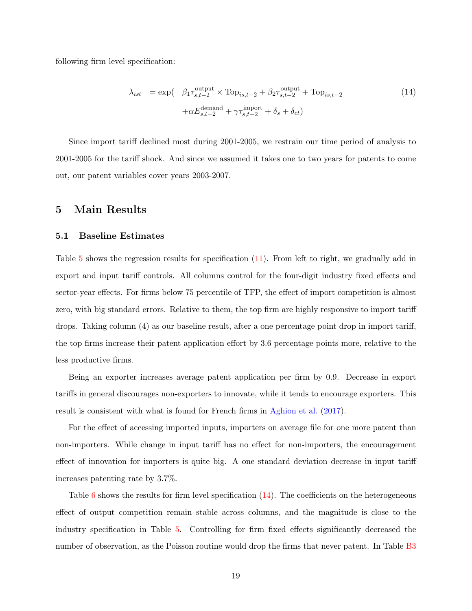following firm level specification:

<span id="page-18-1"></span>
$$
\lambda_{ist} = \exp\left(-\beta_1 \tau_{s,t-2}^{\text{output}} \times \text{Top}_{is,t-2} + \beta_2 \tau_{s,t-2}^{\text{output}} + \text{Top}_{is,t-2} + \alpha E_{s,t-2}^{\text{demand}} + \gamma \tau_{s,t-2}^{\text{import}} + \delta_s + \delta_{ct}\right)
$$
\n(14)

Since import tariff declined most during 2001-2005, we restrain our time period of analysis to 2001-2005 for the tariff shock. And since we assumed it takes one to two years for patents to come out, our patent variables cover years 2003-2007.

## <span id="page-18-0"></span>5 Main Results

#### 5.1 Baseline Estimates

Table [5](#page-31-0) shows the regression results for specification [\(11\)](#page-17-0). From left to right, we gradually add in export and input tariff controls. All columns control for the four-digit industry fixed effects and sector-year effects. For firms below 75 percentile of TFP, the effect of import competition is almost zero, with big standard errors. Relative to them, the top firm are highly responsive to import tariff drops. Taking column (4) as our baseline result, after a one percentage point drop in import tariff, the top firms increase their patent application effort by 3.6 percentage points more, relative to the less productive firms.

Being an exporter increases average patent application per firm by 0.9. Decrease in export tariffs in general discourages non-exporters to innovate, while it tends to encourage exporters. This result is consistent with what is found for French firms in [Aghion et al.](#page-22-1) [\(2017\)](#page-22-1).

For the effect of accessing imported inputs, importers on average file for one more patent than non-importers. While change in input tariff has no effect for non-importers, the encouragement effect of innovation for importers is quite big. A one standard deviation decrease in input tariff increases patenting rate by 3.7%.

Table  $6$  shows the results for firm level specification  $(14)$ . The coefficients on the heterogeneous effect of output competition remain stable across columns, and the magnitude is close to the industry specification in Table [5.](#page-31-0) Controlling for firm fixed effects significantly decreased the number of observation, as the Poisson routine would drop the firms that never patent. In Table [B3](#page-41-0)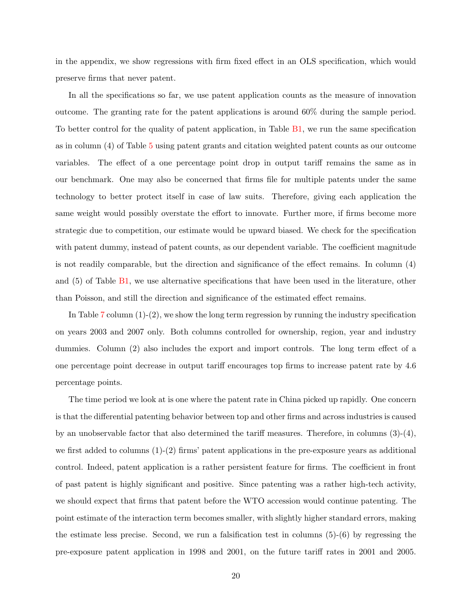in the appendix, we show regressions with firm fixed effect in an OLS specification, which would preserve firms that never patent.

In all the specifications so far, we use patent application counts as the measure of innovation outcome. The granting rate for the patent applications is around 60% during the sample period. To better control for the quality of patent application, in Table [B1,](#page-39-0) we run the same specification as in column (4) of Table [5](#page-31-0) using patent grants and citation weighted patent counts as our outcome variables. The effect of a one percentage point drop in output tariff remains the same as in our benchmark. One may also be concerned that firms file for multiple patents under the same technology to better protect itself in case of law suits. Therefore, giving each application the same weight would possibly overstate the effort to innovate. Further more, if firms become more strategic due to competition, our estimate would be upward biased. We check for the specification with patent dummy, instead of patent counts, as our dependent variable. The coefficient magnitude is not readily comparable, but the direction and significance of the effect remains. In column (4) and (5) of Table [B1,](#page-39-0) we use alternative specifications that have been used in the literature, other than Poisson, and still the direction and significance of the estimated effect remains.

In Table [7](#page-33-0) column  $(1)-(2)$ , we show the long term regression by running the industry specification on years 2003 and 2007 only. Both columns controlled for ownership, region, year and industry dummies. Column (2) also includes the export and import controls. The long term effect of a one percentage point decrease in output tariff encourages top firms to increase patent rate by 4.6 percentage points.

The time period we look at is one where the patent rate in China picked up rapidly. One concern is that the differential patenting behavior between top and other firms and across industries is caused by an unobservable factor that also determined the tariff measures. Therefore, in columns  $(3)-(4)$ , we first added to columns  $(1)-(2)$  firms' patent applications in the pre-exposure years as additional control. Indeed, patent application is a rather persistent feature for firms. The coefficient in front of past patent is highly significant and positive. Since patenting was a rather high-tech activity, we should expect that firms that patent before the WTO accession would continue patenting. The point estimate of the interaction term becomes smaller, with slightly higher standard errors, making the estimate less precise. Second, we run a falsification test in columns  $(5)-(6)$  by regressing the pre-exposure patent application in 1998 and 2001, on the future tariff rates in 2001 and 2005.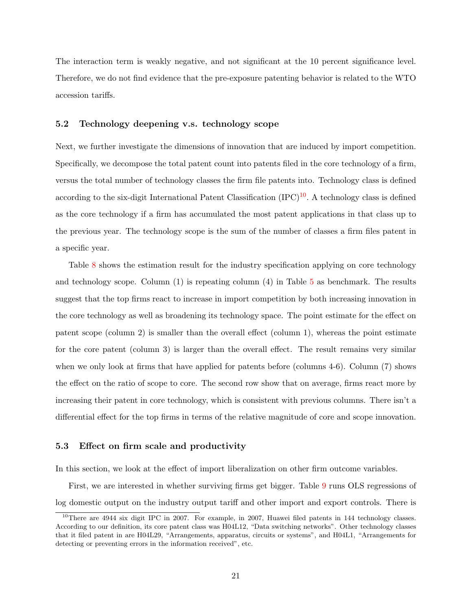The interaction term is weakly negative, and not significant at the 10 percent significance level. Therefore, we do not find evidence that the pre-exposure patenting behavior is related to the WTO accession tariffs.

## 5.2 Technology deepening v.s. technology scope

Next, we further investigate the dimensions of innovation that are induced by import competition. Specifically, we decompose the total patent count into patents filed in the core technology of a firm, versus the total number of technology classes the firm file patents into. Technology class is defined according to the six-digit International Patent Classification  $(IPC)^{10}$  $(IPC)^{10}$  $(IPC)^{10}$ . A technology class is defined as the core technology if a firm has accumulated the most patent applications in that class up to the previous year. The technology scope is the sum of the number of classes a firm files patent in a specific year.

Table [8](#page-34-0) shows the estimation result for the industry specification applying on core technology and technology scope. Column  $(1)$  is repeating column  $(4)$  in Table [5](#page-31-0) as benchmark. The results suggest that the top firms react to increase in import competition by both increasing innovation in the core technology as well as broadening its technology space. The point estimate for the effect on patent scope (column 2) is smaller than the overall effect (column 1), whereas the point estimate for the core patent (column 3) is larger than the overall effect. The result remains very similar when we only look at firms that have applied for patents before (columns 4-6). Column (7) shows the effect on the ratio of scope to core. The second row show that on average, firms react more by increasing their patent in core technology, which is consistent with previous columns. There isn't a differential effect for the top firms in terms of the relative magnitude of core and scope innovation.

#### 5.3 Effect on firm scale and productivity

In this section, we look at the effect of import liberalization on other firm outcome variables.

First, we are interested in whether surviving firms get bigger. Table [9](#page-35-0) runs OLS regressions of log domestic output on the industry output tariff and other import and export controls. There is

<span id="page-20-0"></span><sup>10</sup>There are 4944 six digit IPC in 2007. For example, in 2007, Huawei filed patents in 144 technology classes. According to our definition, its core patent class was H04L12, "Data switching networks". Other technology classes that it filed patent in are H04L29, "Arrangements, apparatus, circuits or systems", and H04L1, "Arrangements for detecting or preventing errors in the information received", etc.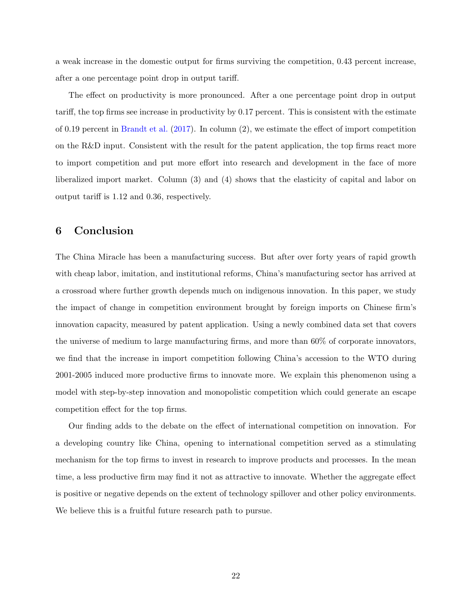a weak increase in the domestic output for firms surviving the competition, 0.43 percent increase, after a one percentage point drop in output tariff.

The effect on productivity is more pronounced. After a one percentage point drop in output tariff, the top firms see increase in productivity by 0.17 percent. This is consistent with the estimate of 0.19 percent in [Brandt et al.](#page-23-1) [\(2017\)](#page-23-1). In column (2), we estimate the effect of import competition on the R&D input. Consistent with the result for the patent application, the top firms react more to import competition and put more effort into research and development in the face of more liberalized import market. Column (3) and (4) shows that the elasticity of capital and labor on output tariff is 1.12 and 0.36, respectively.

## <span id="page-21-0"></span>6 Conclusion

The China Miracle has been a manufacturing success. But after over forty years of rapid growth with cheap labor, imitation, and institutional reforms, China's manufacturing sector has arrived at a crossroad where further growth depends much on indigenous innovation. In this paper, we study the impact of change in competition environment brought by foreign imports on Chinese firm's innovation capacity, measured by patent application. Using a newly combined data set that covers the universe of medium to large manufacturing firms, and more than 60% of corporate innovators, we find that the increase in import competition following China's accession to the WTO during 2001-2005 induced more productive firms to innovate more. We explain this phenomenon using a model with step-by-step innovation and monopolistic competition which could generate an escape competition effect for the top firms.

Our finding adds to the debate on the effect of international competition on innovation. For a developing country like China, opening to international competition served as a stimulating mechanism for the top firms to invest in research to improve products and processes. In the mean time, a less productive firm may find it not as attractive to innovate. Whether the aggregate effect is positive or negative depends on the extent of technology spillover and other policy environments. We believe this is a fruitful future research path to pursue.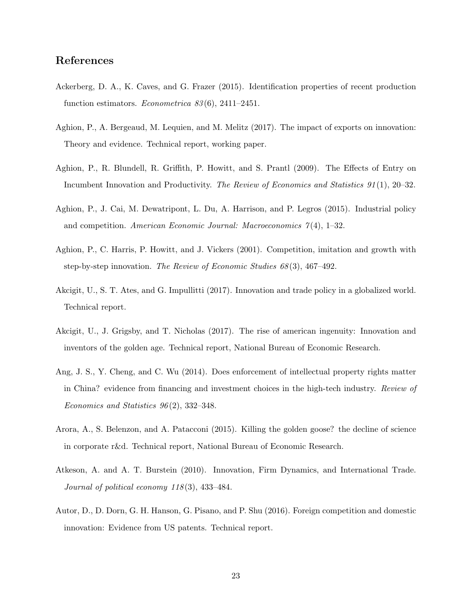# References

- <span id="page-22-10"></span>Ackerberg, D. A., K. Caves, and G. Frazer (2015). Identification properties of recent production function estimators. *Econometrica*  $83(6)$ , 2411–2451.
- <span id="page-22-1"></span>Aghion, P., A. Bergeaud, M. Lequien, and M. Melitz (2017). The impact of exports on innovation: Theory and evidence. Technical report, working paper.
- <span id="page-22-4"></span>Aghion, P., R. Blundell, R. Griffith, P. Howitt, and S. Prantl (2009). The Effects of Entry on Incumbent Innovation and Productivity. The Review of Economics and Statistics 91 (1), 20–32.
- <span id="page-22-9"></span>Aghion, P., J. Cai, M. Dewatripont, L. Du, A. Harrison, and P. Legros (2015). Industrial policy and competition. American Economic Journal: Macroeconomics  $\gamma(4)$ , 1–32.
- <span id="page-22-8"></span>Aghion, P., C. Harris, P. Howitt, and J. Vickers (2001). Competition, imitation and growth with step-by-step innovation. The Review of Economic Studies 68 (3), 467–492.
- <span id="page-22-6"></span>Akcigit, U., S. T. Ates, and G. Impullitti (2017). Innovation and trade policy in a globalized world. Technical report.
- <span id="page-22-0"></span>Akcigit, U., J. Grigsby, and T. Nicholas (2017). The rise of american ingenuity: Innovation and inventors of the golden age. Technical report, National Bureau of Economic Research.
- <span id="page-22-7"></span>Ang, J. S., Y. Cheng, and C. Wu (2014). Does enforcement of intellectual property rights matter in China? evidence from financing and investment choices in the high-tech industry. Review of Economics and Statistics 96 (2), 332–348.
- <span id="page-22-3"></span>Arora, A., S. Belenzon, and A. Patacconi (2015). Killing the golden goose? the decline of science in corporate r&d. Technical report, National Bureau of Economic Research.
- <span id="page-22-5"></span>Atkeson, A. and A. T. Burstein (2010). Innovation, Firm Dynamics, and International Trade. Journal of political economy  $118(3)$ , 433-484.
- <span id="page-22-2"></span>Autor, D., D. Dorn, G. H. Hanson, G. Pisano, and P. Shu (2016). Foreign competition and domestic innovation: Evidence from US patents. Technical report.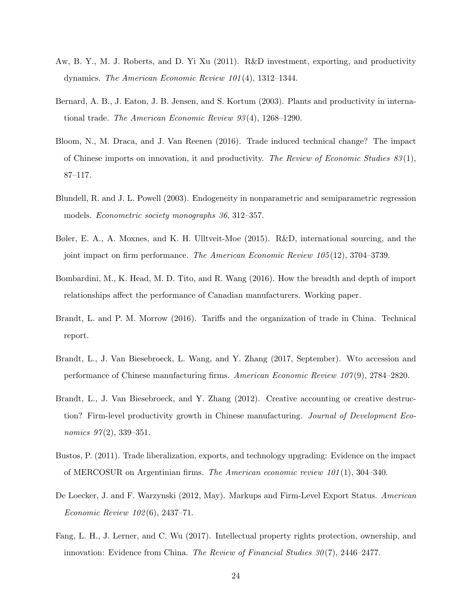- <span id="page-23-3"></span>Aw, B. Y., M. J. Roberts, and D. Yi Xu (2011). R&D investment, exporting, and productivity dynamics. The American Economic Review 101 (4), 1312–1344.
- <span id="page-23-6"></span>Bernard, A. B., J. Eaton, J. B. Jensen, and S. Kortum (2003). Plants and productivity in international trade. The American Economic Review 93 (4), 1268–1290.
- <span id="page-23-0"></span>Bloom, N., M. Draca, and J. Van Reenen (2016). Trade induced technical change? The impact of Chinese imports on innovation, it and productivity. The Review of Economic Studies  $83(1)$ , 87–117.
- <span id="page-23-11"></span>Blundell, R. and J. L. Powell (2003). Endogeneity in nonparametric and semiparametric regression models. Econometric society monographs 36, 312–357.
- <span id="page-23-4"></span>Bøler, E. A., A. Moxnes, and K. H. Ulltveit-Moe (2015). R&D, international sourcing, and the joint impact on firm performance. The American Economic Review 105 (12), 3704–3739.
- <span id="page-23-7"></span>Bombardini, M., K. Head, M. D. Tito, and R. Wang (2016). How the breadth and depth of import relationships affect the performance of Canadian manufacturers. Working paper.
- <span id="page-23-9"></span>Brandt, L. and P. M. Morrow (2016). Tariffs and the organization of trade in China. Technical report.
- <span id="page-23-1"></span>Brandt, L., J. Van Biesebroeck, L. Wang, and Y. Zhang (2017, September). Wto accession and performance of Chinese manufacturing firms. American Economic Review 107 (9), 2784–2820.
- <span id="page-23-8"></span>Brandt, L., J. Van Biesebroeck, and Y. Zhang (2012). Creative accounting or creative destruction? Firm-level productivity growth in Chinese manufacturing. Journal of Development Economics  $97(2)$ , 339-351.
- <span id="page-23-2"></span>Bustos, P. (2011). Trade liberalization, exports, and technology upgrading: Evidence on the impact of MERCOSUR on Argentinian firms. The American economic review  $101(1)$ , 304–340.
- <span id="page-23-10"></span>De Loecker, J. and F. Warzynski (2012, May). Markups and Firm-Level Export Status. American Economic Review 102 (6), 2437–71.
- <span id="page-23-5"></span>Fang, L. H., J. Lerner, and C. Wu (2017). Intellectual property rights protection, ownership, and innovation: Evidence from China. The Review of Financial Studies  $30(7)$ , 2446–2477.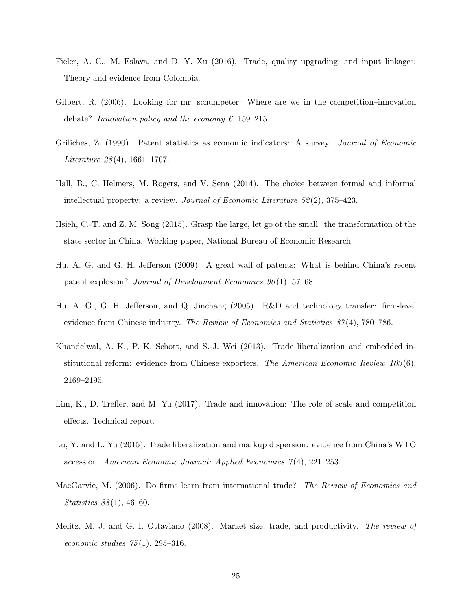- <span id="page-24-7"></span>Fieler, A. C., M. Eslava, and D. Y. Xu (2016). Trade, quality upgrading, and input linkages: Theory and evidence from Colombia.
- <span id="page-24-3"></span>Gilbert, R. (2006). Looking for mr. schumpeter: Where are we in the competition–innovation debate? Innovation policy and the economy 6, 159–215.
- <span id="page-24-1"></span>Griliches, Z. (1990). Patent statistics as economic indicators: A survey. Journal of Economic Literature  $28(4)$ , 1661–1707.
- <span id="page-24-0"></span>Hall, B., C. Helmers, M. Rogers, and V. Sena (2014). The choice between formal and informal intellectual property: a review. Journal of Economic Literature 52 (2), 375–423.
- <span id="page-24-11"></span>Hsieh, C.-T. and Z. M. Song (2015). Grasp the large, let go of the small: the transformation of the state sector in China. Working paper, National Bureau of Economic Research.
- <span id="page-24-10"></span>Hu, A. G. and G. H. Jefferson (2009). A great wall of patents: What is behind China's recent patent explosion? Journal of Development Economics  $90(1)$ , 57–68.
- <span id="page-24-9"></span>Hu, A. G., G. H. Jefferson, and Q. Jinchang (2005). R&D and technology transfer: firm-level evidence from Chinese industry. The Review of Economics and Statistics 87(4), 780–786.
- <span id="page-24-4"></span>Khandelwal, A. K., P. K. Schott, and S.-J. Wei (2013). Trade liberalization and embedded institutional reform: evidence from Chinese exporters. The American Economic Review  $103(6)$ , 2169–2195.
- <span id="page-24-8"></span>Lim, K., D. Trefler, and M. Yu (2017). Trade and innovation: The role of scale and competition effects. Technical report.
- <span id="page-24-5"></span>Lu, Y. and L. Yu (2015). Trade liberalization and markup dispersion: evidence from China's WTO accession. American Economic Journal: Applied Economics  $\gamma(4)$ , 221–253.
- <span id="page-24-6"></span>MacGarvie, M. (2006). Do firms learn from international trade? The Review of Economics and *Statistics*  $88(1)$ , 46–60.
- <span id="page-24-2"></span>Melitz, M. J. and G. I. Ottaviano (2008). Market size, trade, and productivity. The review of economic studies  $75(1)$ , 295–316.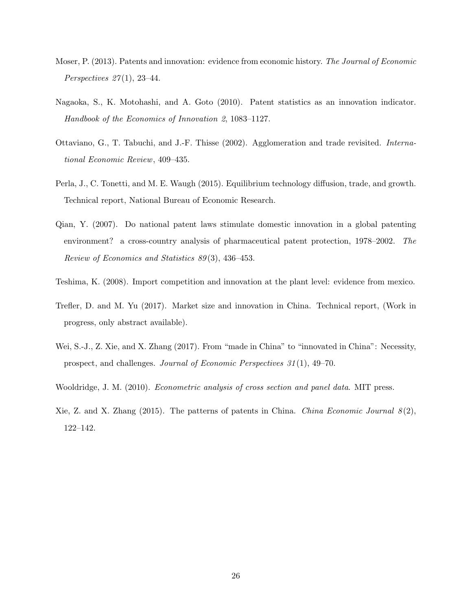- <span id="page-25-0"></span>Moser, P. (2013). Patents and innovation: evidence from economic history. The Journal of Economic Perspectives  $27(1)$ , 23-44.
- <span id="page-25-1"></span>Nagaoka, S., K. Motohashi, and A. Goto (2010). Patent statistics as an innovation indicator. Handbook of the Economics of Innovation 2, 1083–1127.
- <span id="page-25-8"></span>Ottaviano, G., T. Tabuchi, and J.-F. Thisse (2002). Agglomeration and trade revisited. International Economic Review, 409–435.
- <span id="page-25-4"></span>Perla, J., C. Tonetti, and M. E. Waugh (2015). Equilibrium technology diffusion, trade, and growth. Technical report, National Bureau of Economic Research.
- <span id="page-25-2"></span>Qian, Y. (2007). Do national patent laws stimulate domestic innovation in a global patenting environment? a cross-country analysis of pharmaceutical patent protection, 1978–2002. The Review of Economics and Statistics 89 (3), 436–453.
- <span id="page-25-5"></span>Teshima, K. (2008). Import competition and innovation at the plant level: evidence from mexico.
- <span id="page-25-3"></span>Trefler, D. and M. Yu (2017). Market size and innovation in China. Technical report, (Work in progress, only abstract available).
- <span id="page-25-6"></span>Wei, S.-J., Z. Xie, and X. Zhang (2017). From "made in China" to "innovated in China": Necessity, prospect, and challenges. Journal of Economic Perspectives 31 (1), 49–70.
- <span id="page-25-9"></span>Wooldridge, J. M. (2010). Econometric analysis of cross section and panel data. MIT press.
- <span id="page-25-7"></span>Xie, Z. and X. Zhang (2015). The patterns of patents in China. China Economic Journal  $\mathcal{S}(2)$ , 122–142.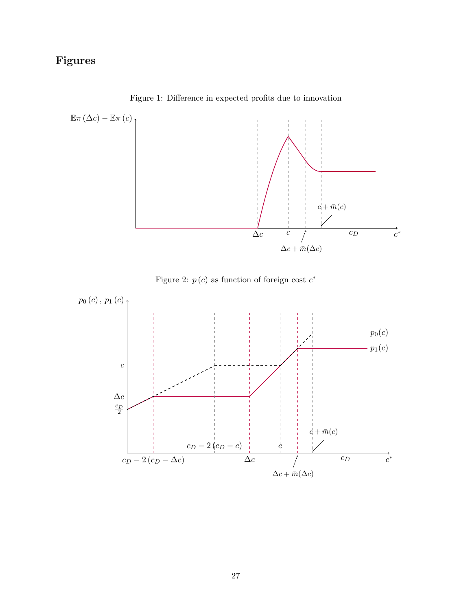# Figures

<span id="page-26-0"></span>

Figure 1: Difference in expected profits due to innovation



<span id="page-26-1"></span>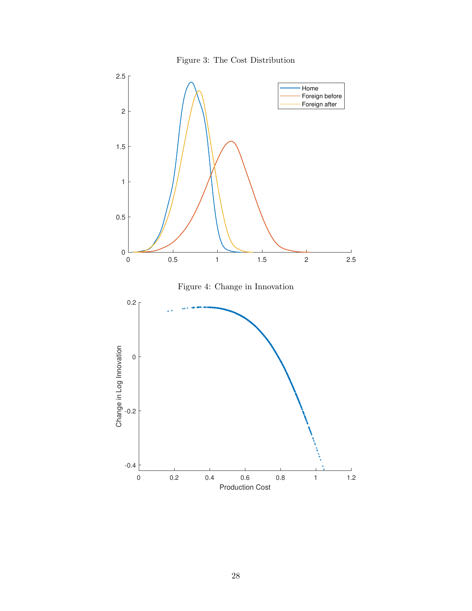

<span id="page-27-1"></span><span id="page-27-0"></span>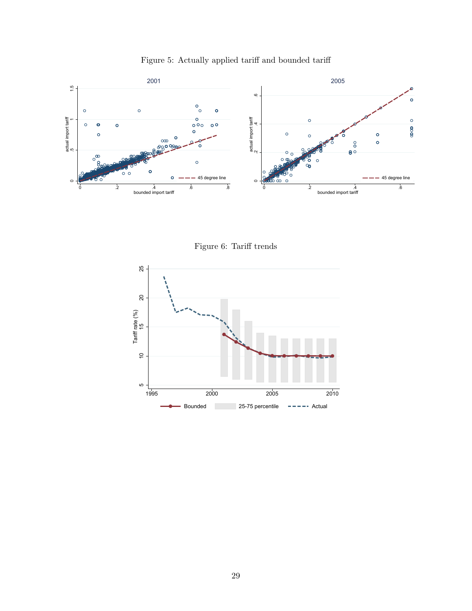<span id="page-28-0"></span>

Figure 5: Actually applied tariff and bounded tariff

Figure 6: Tariff trends

<span id="page-28-1"></span>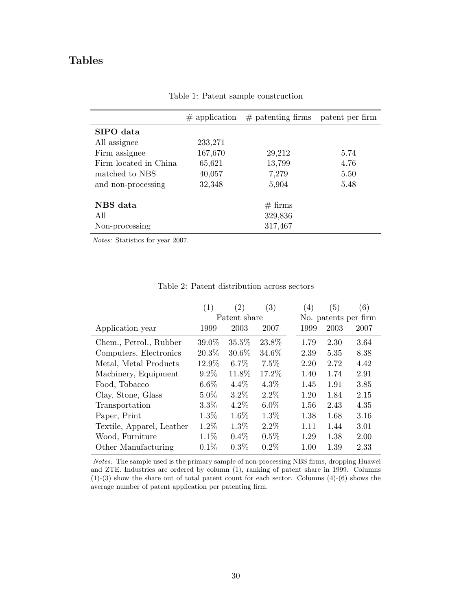# <span id="page-29-0"></span>Tables

|                       | $\#$ application | $#$ patenting firms patent per firm |      |
|-----------------------|------------------|-------------------------------------|------|
| SIPO data             |                  |                                     |      |
| All assignee          | 233,271          |                                     |      |
| Firm assignee         | 167,670          | 29,212                              | 5.74 |
| Firm located in China | 65,621           | 13,799                              | 4.76 |
| matched to NBS        | 40,057           | 7,279                               | 5.50 |
| and non-processing    | 32,348           | 5,904                               | 5.48 |
| NBS data              |                  | $# \, \text{firms}$                 |      |
| All                   |                  | 329,836                             |      |
| Non-processing        |                  | 317,467                             |      |

Table 1: Patent sample construction

Notes: Statistics for year 2007.

<span id="page-29-1"></span>

|                           | (1)     | (2)          | (3)     | (4)  | (5)                  | (6)  |
|---------------------------|---------|--------------|---------|------|----------------------|------|
|                           |         | Patent share |         |      | No. patents per firm |      |
| Application year          | 1999    | 2003         | 2007    | 1999 | 2003                 | 2007 |
| Chem., Petrol., Rubber    | 39.0%   | 35.5%        | 23.8%   | 1.79 | 2.30                 | 3.64 |
| Computers, Electronics    | 20.3%   | 30.6%        | 34.6%   | 2.39 | 5.35                 | 8.38 |
| Metal, Metal Products     | 12.9%   | $6.7\%$      | 7.5%    | 2.20 | 2.72                 | 4.42 |
| Machinery, Equipment      | $9.2\%$ | 11.8%        | 17.2%   | 1.40 | 1.74                 | 2.91 |
| Food, Tobacco             | $6.6\%$ | $4.4\%$      | $4.3\%$ | 1.45 | 1.91                 | 3.85 |
| Clay, Stone, Glass        | 5.0%    | 3.2%         | $2.2\%$ | 1.20 | 1.84                 | 2.15 |
| Transportation            | $3.3\%$ | $4.2\%$      | $6.0\%$ | 1.56 | 2.43                 | 4.35 |
| Paper, Print              | 1.3%    | 1.6%         | 1.3%    | 1.38 | 1.68                 | 3.16 |
| Textile, Apparel, Leather | 1.2%    | 1.3%         | $2.2\%$ | 1.11 | 1.44                 | 3.01 |
| Wood, Furniture           | 1.1%    | 0.4%         | 0.5%    | 1.29 | 1.38                 | 2.00 |
| Other Manufacturing       | 0.1%    | 0.3%         | $0.2\%$ | 1.00 | 1.39                 | 2.33 |

Table 2: Patent distribution across sectors

Notes: The sample used is the primary sample of non-processing NBS firms, dropping Huawei and ZTE. Industries are ordered by column (1), ranking of patent share in 1999. Columns (1)-(3) show the share out of total patent count for each sector. Columns (4)-(6) shows the average number of patent application per patenting firm.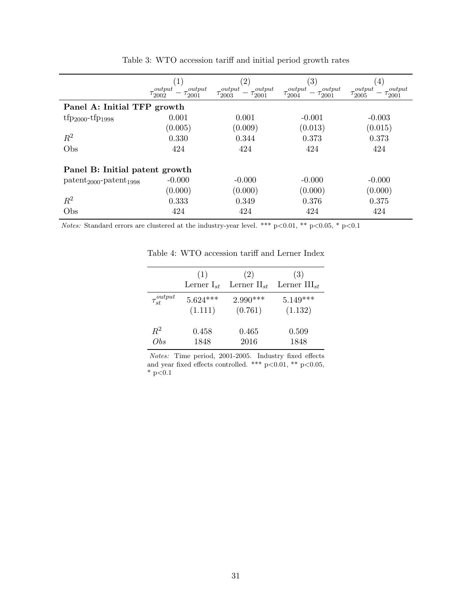<span id="page-30-0"></span>

|                                                 | 1                                                            | $\left( 2\right)$                                  | $\left( 3\right)$                                  | $ 4\rangle$                                        |  |  |  |  |
|-------------------------------------------------|--------------------------------------------------------------|----------------------------------------------------|----------------------------------------------------|----------------------------------------------------|--|--|--|--|
|                                                 | $_{output}$<br>$_{output}$<br>$\tau_{2002}$<br>$\tau_{2001}$ | output<br>output<br>$\tau_{2001}$<br>$\tau_{2003}$ | output<br>output<br>$\tau_{2004}$<br>$\tau_{2001}$ | output<br>output<br>$\tau_{2001}$<br>$\tau_{2005}$ |  |  |  |  |
| Panel A: Initial TFP growth                     |                                                              |                                                    |                                                    |                                                    |  |  |  |  |
| $tfp_{2000} - tfp_{1998}$                       | 0.001                                                        | 0.001                                              | $-0.001$                                           | $-0.003$                                           |  |  |  |  |
|                                                 | (0.005)                                                      | (0.009)                                            | (0.013)                                            | (0.015)                                            |  |  |  |  |
| $R^2$                                           | 0.330                                                        | 0.344                                              | 0.373                                              | 0.373                                              |  |  |  |  |
| Obs                                             | 424                                                          | 424                                                | 424                                                | 424                                                |  |  |  |  |
| Panel B: Initial patent growth                  |                                                              |                                                    |                                                    |                                                    |  |  |  |  |
| $\text{pattern}_{2000}$ -patent <sub>1998</sub> | $-0.000$                                                     | $-0.000$                                           | $-0.000$                                           | $-0.000$                                           |  |  |  |  |
|                                                 | (0.000)                                                      | (0.000)                                            | (0.000)                                            | (0.000)                                            |  |  |  |  |
| $R^2$                                           | 0.333                                                        | 0.349                                              | 0.376                                              | 0.375                                              |  |  |  |  |
| Obs                                             | 424                                                          | 424                                                | 424                                                | 424                                                |  |  |  |  |

Table 3: WTO accession tariff and initial period growth rates

<span id="page-30-1"></span>Notes: Standard errors are clustered at the industry-year level. \*\*\*  $p<0.01$ , \*\*  $p<0.05$ , \*  $p<0.1$ 

|                      | (1)             | (2)              | (3)                      |
|----------------------|-----------------|------------------|--------------------------|
|                      | Lerner $I_{st}$ | Lerner $II_{st}$ | Lerner $\text{III}_{st}$ |
| $\tau_{st}^{output}$ | $5.624***$      | $2.990***$       | $5.149***$               |
|                      | (1.111)         | (0.761)          | (1.132)                  |
| $\,R^2$              | 0.458           | 0.465            | 0.509                    |
| Obs                  | 1848            | 2016             | 1848                     |

Table 4: WTO accession tariff and Lerner Index

Notes: Time period, 2001-2005. Industry fixed effects and year fixed effects controlled. \*\*\* p<0.01, \*\* p<0.05,  $*$  p<0.1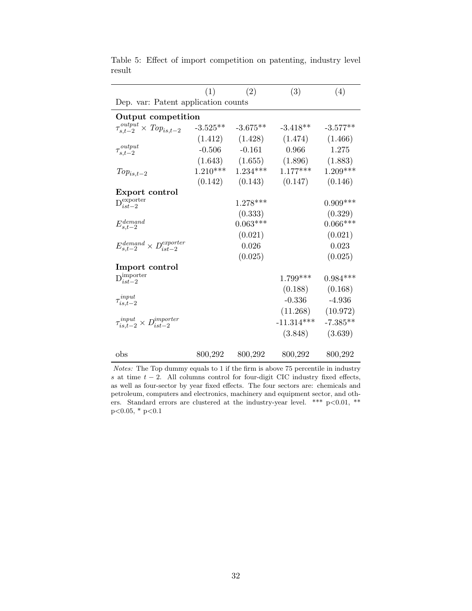|                                                     | (1)     | (2)                   | (3)                                     | (4)        |  |  |  |  |
|-----------------------------------------------------|---------|-----------------------|-----------------------------------------|------------|--|--|--|--|
| Dep. var: Patent application counts                 |         |                       |                                         |            |  |  |  |  |
| Output competition                                  |         |                       |                                         |            |  |  |  |  |
| $\tau_{s,t-2}^{output} \times Top_{is,t-2}$         |         | $-3.525**$ $-3.675**$ | $-3.418**$                              | $-3.577**$ |  |  |  |  |
|                                                     |         | $(1.412)$ $(1.428)$   | (1.474)                                 | (1.466)    |  |  |  |  |
| $\tau_{s,t-2}^{\mathit{output}}$                    |         | $-0.506$ $-0.161$     | 0.966                                   | 1.275      |  |  |  |  |
|                                                     |         |                       | $(1.643)$ $(1.655)$ $(1.896)$ $(1.883)$ |            |  |  |  |  |
| $Top_{is,t-2}$                                      |         | $1.210***$ $1.234***$ | $1.177***$                              | $1.209***$ |  |  |  |  |
|                                                     |         |                       | $(0.142)$ $(0.143)$ $(0.147)$           | (0.146)    |  |  |  |  |
| Export control                                      |         |                       |                                         |            |  |  |  |  |
| $\mathbf{D}_{ist-2}^{\text{experter}}$              |         | $1.278***$            |                                         | $0.909***$ |  |  |  |  |
|                                                     |         | (0.333)               |                                         | (0.329)    |  |  |  |  |
| $E_{s,t-2}^{demand}$                                |         | $0.063***$            |                                         | $0.066***$ |  |  |  |  |
|                                                     |         | (0.021)               |                                         | (0.021)    |  |  |  |  |
| $E_{s,t-2}^{demand} \times D_{ist-2}^{exporter}$    |         | 0.026                 |                                         | 0.023      |  |  |  |  |
|                                                     |         | (0.025)               |                                         | (0.025)    |  |  |  |  |
| Import control                                      |         |                       |                                         |            |  |  |  |  |
| $\mathcal{D}_{ist-2}^{\text{importer}}$             |         |                       | $1.799***$                              | $0.984***$ |  |  |  |  |
|                                                     |         |                       | (0.188)                                 | (0.168)    |  |  |  |  |
| $\tau_{is,t-2}^{input}$                             |         |                       | $-0.336$                                | $-4.936$   |  |  |  |  |
|                                                     |         |                       | (11.268)                                | (10.972)   |  |  |  |  |
| $\tau_{is,t-2}^{input} \times D_{ist-2}^{importer}$ |         |                       | $-11.314***$                            | $-7.385**$ |  |  |  |  |
|                                                     |         |                       | (3.848)                                 | (3.639)    |  |  |  |  |
|                                                     |         |                       |                                         |            |  |  |  |  |
| obs                                                 | 800,292 | 800,292               | 800,292                                 | 800,292    |  |  |  |  |

<span id="page-31-0"></span>Table 5: Effect of import competition on patenting, industry level result

Notes: The Top dummy equals to 1 if the firm is above 75 percentile in industry s at time  $t - 2$ . All columns control for four-digit CIC industry fixed effects, as well as four-sector by year fixed effects. The four sectors are: chemicals and petroleum, computers and electronics, machinery and equipment sector, and others. Standard errors are clustered at the industry-year level. \*\*\*  $p<0.01$ , \*\*  $p<0.05$ , \*  $p<0.1$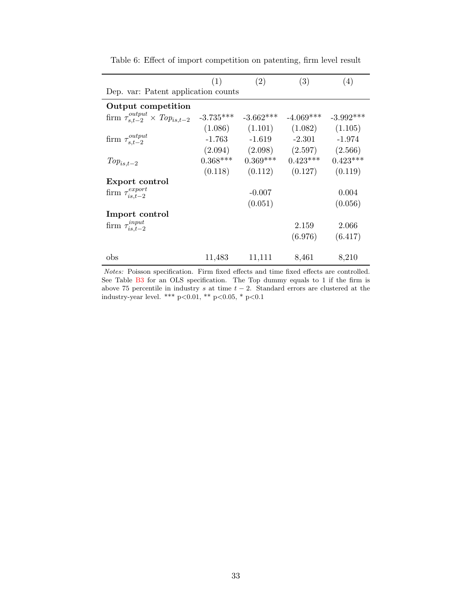<span id="page-32-0"></span>

|                                                  | (1)         | (2)         | (3)         | (4)         |  |  |  |  |
|--------------------------------------------------|-------------|-------------|-------------|-------------|--|--|--|--|
| Dep. var: Patent application counts              |             |             |             |             |  |  |  |  |
| Output competition                               |             |             |             |             |  |  |  |  |
| firm $\tau_{s.t-2}^{output} \times Top_{is.t-2}$ | $-3.735***$ | $-3.662***$ | $-4.069***$ | $-3.992***$ |  |  |  |  |
|                                                  | (1.086)     | (1.101)     | (1.082)     | (1.105)     |  |  |  |  |
| firm $\tau_{s.t-2}^{output}$                     | $-1.763$    | $-1.619$    | $-2.301$    | $-1.974$    |  |  |  |  |
|                                                  | (2.094)     | (2.098)     | (2.597)     | (2.566)     |  |  |  |  |
| $Top_{is,t-2}$                                   | $0.368***$  | $0.369***$  | $0.423***$  | $0.423***$  |  |  |  |  |
|                                                  | (0.118)     | (0.112)     | (0.127)     | (0.119)     |  |  |  |  |
| Export control                                   |             |             |             |             |  |  |  |  |
| firm $\tau_{is.t-2}^{export}$                    |             | $-0.007$    |             | 0.004       |  |  |  |  |
|                                                  |             | (0.051)     |             | (0.056)     |  |  |  |  |
| Import control                                   |             |             |             |             |  |  |  |  |
| firm $\tau_{is,t-2}^{input}$                     |             |             | 2.159       | 2.066       |  |  |  |  |
|                                                  |             |             | (6.976)     | (6.417)     |  |  |  |  |
| obs                                              | 11,483      | 11,111      | 8,461       | 8,210       |  |  |  |  |

Table 6: Effect of import competition on patenting, firm level result

Notes: Poisson specification. Firm fixed effects and time fixed effects are controlled. See Table [B3](#page-41-0) for an OLS specification. The Top dummy equals to 1 if the firm is above 75 percentile in industry s at time  $t - 2$ . Standard errors are clustered at the industry-year level. \*\*\* p<0.01, \*\* p<0.05, \* p<0.1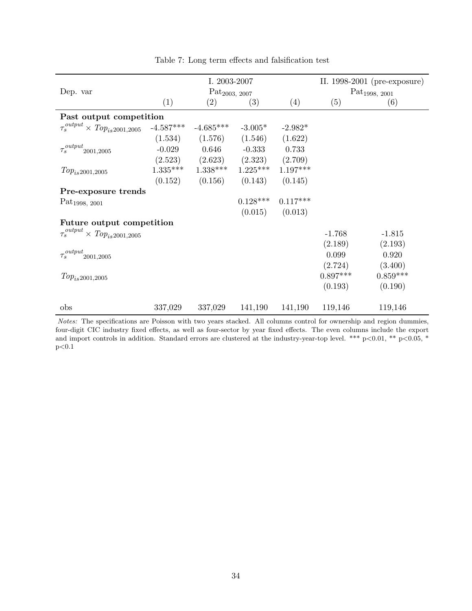<span id="page-33-0"></span>

|                                             | I. 2003-2007 |                            |                               |            |                            | II. 1998-2001 (pre-exposure) |
|---------------------------------------------|--------------|----------------------------|-------------------------------|------------|----------------------------|------------------------------|
| Dep. var                                    |              | Pat <sub>2003</sub> , 2007 |                               |            | Pat <sub>1998</sub> , 2001 |                              |
|                                             | (1)          | (2)                        | (3)                           | (4)        | (5)                        | (6)                          |
| Past output competition                     |              |                            |                               |            |                            |                              |
| $\tau_s^{output} \times Top_{is}$ 2001,2005 | $-4.587***$  | $-4.685***$                | $-3.005*$                     | $-2.982*$  |                            |                              |
|                                             | (1.534)      | (1.576)                    | (1.546)                       | (1.622)    |                            |                              |
| $\tau_s^{output}$ 2001,2005                 | $-0.029$     | 0.646                      | $-0.333$                      | 0.733      |                            |                              |
|                                             | (2.523)      |                            | $(2.623)$ $(2.323)$ $(2.709)$ |            |                            |                              |
| $Top_{is}2001,2005$                         | $1.335***$   | $1.338***$                 | $1.225***$                    | $1.197***$ |                            |                              |
|                                             | (0.152)      | (0.156)                    | (0.143)                       | (0.145)    |                            |                              |
| Pre-exposure trends                         |              |                            |                               |            |                            |                              |
| Pat <sub>1998, 2001</sub>                   |              |                            | $0.128***$                    | $0.117***$ |                            |                              |
|                                             |              |                            | (0.015)                       | (0.013)    |                            |                              |
| Future output competition                   |              |                            |                               |            |                            |                              |
| $\tau_s^{output} \times Top_{is}$ 2001,2005 |              |                            |                               |            | $-1.768$                   | $-1.815$                     |
|                                             |              |                            |                               |            | (2.189)                    | (2.193)                      |
| $\tau_s^{output}$ 2001,2005                 |              |                            |                               |            | 0.099                      | 0.920                        |
|                                             |              |                            |                               |            | (2.724)                    | (3.400)                      |
| $Top_{is2001,2005}$                         |              |                            |                               |            | $0.897***$                 | $0.859***$                   |
|                                             |              |                            |                               |            | (0.193)                    | (0.190)                      |
| obs                                         | 337,029      | 337,029                    | 141,190                       | 141,190    | 119,146                    | 119,146                      |

Table 7: Long term effects and falsification test

Notes: The specifications are Poisson with two years stacked. All columns control for ownership and region dummies, four-digit CIC industry fixed effects, as well as four-sector by year fixed effects. The even columns include the export and import controls in addition. Standard errors are clustered at the industry-year-top level. \*\*\*  $p<0.01$ , \*\*  $p<0.05$ , \*  $p<0.1$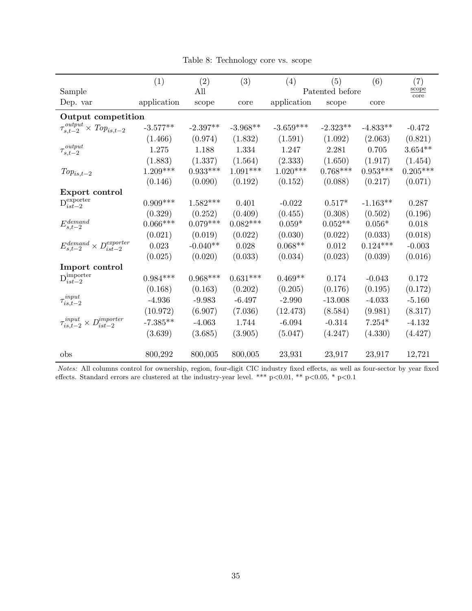Table 8: Technology core vs. scope

<span id="page-34-0"></span>

|                                                                        | (1)         | (2)        | (3)        | (4)         | (5)             | (6)        | (7)           |
|------------------------------------------------------------------------|-------------|------------|------------|-------------|-----------------|------------|---------------|
| Sample                                                                 |             | All        |            |             | Patented before |            | scope<br>core |
| Dep. var                                                               | application | scope      | core       | application | scope           | core       |               |
| Output competition                                                     |             |            |            |             |                 |            |               |
| $\tau_{s,t-2}^{output} \times Top_{is,t-2}$                            | $-3.577**$  | $-2.397**$ | $-3.968**$ | $-3.659***$ | $-2.323**$      | $-4.833**$ | $-0.472$      |
|                                                                        | (1.466)     | (0.974)    | (1.832)    | (1.591)     | (1.092)         | (2.063)    | (0.821)       |
| $\tau_{s,t-2}^{\mathit{output}}$                                       | 1.275       | 1.188      | 1.334      | 1.247       | 2.281           | 0.705      | $3.654**$     |
|                                                                        | (1.883)     | (1.337)    | (1.564)    | (2.333)     | (1.650)         | (1.917)    | (1.454)       |
| $Top_{is,t-2}$                                                         | $1.209***$  | $0.933***$ | $1.091***$ | $1.020***$  | $0.768***$      | $0.953***$ | $0.205***$    |
|                                                                        | (0.146)     | (0.090)    | (0.192)    | (0.152)     | (0.088)         | (0.217)    | (0.071)       |
| Export control                                                         |             |            |            |             |                 |            |               |
| $\mathbf{D}_{ist-2}^{\text{experter}}$                                 | $0.909***$  | $1.582***$ | 0.401      | $-0.022$    | $0.517*$        | $-1.163**$ | 0.287         |
|                                                                        | (0.329)     | (0.252)    | (0.409)    | (0.455)     | (0.308)         | (0.502)    | (0.196)       |
| $E_{s,t-2}^{demand}$                                                   | $0.066***$  | $0.079***$ | $0.082***$ | $0.059*$    | $0.052**$       | $0.056*$   | 0.018         |
|                                                                        | (0.021)     | (0.019)    | (0.022)    | (0.030)     | (0.022)         | (0.033)    | (0.018)       |
| $E_{s,t-2}^{demand}\times D_{ist-2}^{expert}$                          | 0.023       | $-0.040**$ | 0.028      | $0.068**$   | 0.012           | $0.124***$ | $-0.003$      |
|                                                                        | (0.025)     | (0.020)    | (0.033)    | (0.034)     | (0.023)         | (0.039)    | (0.016)       |
| Import control                                                         |             |            |            |             |                 |            |               |
| $\mathbf{D}_{ist-2}^{\text{importer}}$                                 | $0.984***$  | $0.968***$ | $0.631***$ | $0.469**$   | 0.174           | $-0.043$   | 0.172         |
|                                                                        | (0.168)     | (0.163)    | (0.202)    | (0.205)     | (0.176)         | (0.195)    | (0.172)       |
| $\tau_{is,t-2}^{input}$                                                | $-4.936$    | $-9.983$   | $-6.497$   | $-2.990$    | $-13.008$       | $-4.033$   | $-5.160$      |
|                                                                        | (10.972)    | (6.907)    | (7.036)    | (12.473)    | (8.584)         | (9.981)    | (8.317)       |
| $D_{i}^{importer}$<br>$\tau_{is,t-2}^{input}$ $\times$<br>$'$ ist $-2$ | $-7.385**$  | $-4.063$   | 1.744      | $-6.094$    | $-0.314$        | $7.254*$   | $-4.132$      |
|                                                                        | (3.639)     | (3.685)    | (3.905)    | (5.047)     | (4.247)         | (4.330)    | (4.427)       |
|                                                                        |             |            |            |             |                 |            |               |
| obs                                                                    | 800,292     | 800,005    | 800,005    | 23,931      | 23,917          | 23,917     | 12,721        |

Notes: All columns control for ownership, region, four-digit CIC industry fixed effects, as well as four-sector by year fixed effects. Standard errors are clustered at the industry-year level. \*\*\* p<0.01, \*\* p<0.05, \* p<0.1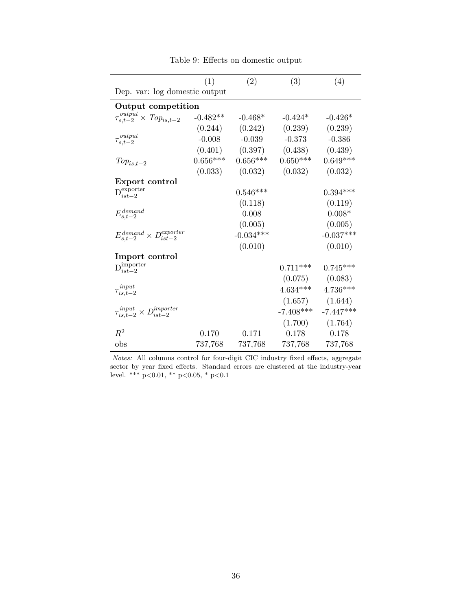<span id="page-35-0"></span>

|                                                     | (1)        | (2)         | (3)         | (4)         |
|-----------------------------------------------------|------------|-------------|-------------|-------------|
| Dep. var: log domestic output                       |            |             |             |             |
| Output competition                                  |            |             |             |             |
| $\tau_{s,t-2}^{output} \times Top_{is,t-2}$         | $-0.482**$ | $-0.468*$   | $-0.424*$   | $-0.426*$   |
|                                                     | (0.244)    | (0.242)     | (0.239)     | (0.239)     |
| $\tau_{s,t-2}^{output}$                             | $-0.008$   | $-0.039$    | $-0.373$    | $-0.386$    |
|                                                     | (0.401)    | (0.397)     | (0.438)     | (0.439)     |
| $Top_{is,t-2}$                                      | $0.656***$ | $0.656***$  | $0.650***$  | $0.649***$  |
|                                                     | (0.033)    | (0.032)     | (0.032)     | (0.032)     |
| Export control                                      |            |             |             |             |
| $D_{ist-2}^{\text{exporter}}$                       |            | $0.546***$  |             | $0.394***$  |
|                                                     |            | (0.118)     |             | (0.119)     |
| $E^{demand}_{s,t-2}$                                |            | 0.008       |             | $0.008*$    |
|                                                     |            | (0.005)     |             | (0.005)     |
| $E^{demand}_{s,t-2}\times D^{experter}_{ist-2}$     |            | $-0.034***$ |             | $-0.037***$ |
|                                                     |            | (0.010)     |             | (0.010)     |
| Import control                                      |            |             |             |             |
| $\mathrm{D}^{\mathrm{importer}}_{ist-2}$            |            |             | $0.711***$  | $0.745***$  |
|                                                     |            |             | (0.075)     | (0.083)     |
| $\tau_{is,t-2}^{input}$                             |            |             | $4.634***$  | $4.736***$  |
|                                                     |            |             | (1.657)     | (1.644)     |
| $\tau_{is,t-2}^{input} \times D_{ist-2}^{importer}$ |            |             | $-7.408***$ | $-7.447***$ |
|                                                     |            |             | (1.700)     | (1.764)     |
| $R^2$                                               | 0.170      | 0.171       | 0.178       | 0.178       |
| obs                                                 | 737,768    | 737,768     | 737,768     | 737,768     |

Table 9: Effects on domestic output

Notes: All columns control for four-digit CIC industry fixed effects, aggregate sector by year fixed effects. Standard errors are clustered at the industry-year level. \*\*\* p<0.01, \*\* p<0.05, \* p<0.1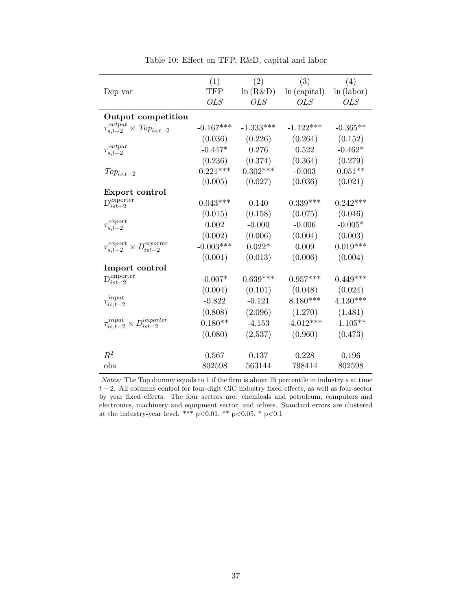|                                                     | (1)                  | (2)         | (3)         | (4)        |
|-----------------------------------------------------|----------------------|-------------|-------------|------------|
| Dep var                                             | $\operatorname{TFP}$ | ln(R&D)     | ln(capital) | ln(labor)  |
|                                                     | <b>OLS</b>           | <b>OLS</b>  | <i>OLS</i>  | <b>OLS</b> |
| Output competition                                  |                      |             |             |            |
| $\tau_{s,t-2}^{output}$<br>$\times$ $Top_{is,t-2}$  | $-0.167***$          | $-1.333***$ | $-1.122***$ | $-0.365**$ |
|                                                     | (0.036)              | (0.226)     | (0.264)     | (0.152)    |
| $\tau_{s,t-2}^{output}$                             | $-0.447*$            | 0.276       | 0.522       | $-0.462*$  |
|                                                     | (0.236)              | (0.374)     | (0.364)     | (0.279)    |
| $Top_{is,t-2}$                                      | $0.221***$           | $0.302***$  | $-0.003$    | $0.051**$  |
|                                                     | (0.005)              | (0.027)     | (0.036)     | (0.021)    |
| Export control                                      |                      |             |             |            |
| $\mathbf{D}_{ist-2}^{\text{experter}}$              | $0.043***$           | 0.140       | $0.339***$  | $0.242***$ |
|                                                     | (0.015)              | (0.158)     | (0.075)     | (0.046)    |
| $\tau_{s,t-2}^{export}$                             | 0.002                | $-0.000$    | $-0.006$    | $-0.005*$  |
|                                                     | (0.002)              | (0.006)     | (0.004)     | (0.003)    |
| $\tau_{s,t-2}^{export} \times D_{ist-2}^{exporter}$ | $-0.003***$          | $0.022*$    | 0.009       | $0.019***$ |
|                                                     | (0.001)              | (0.013)     | (0.006)     | (0.004)    |
| Import control                                      |                      |             |             |            |
| $\mathrm{D}^{\mathrm{importer}}_{ist-2}$            | $-0.007*$            | $0.639***$  | $0.957***$  | $0.449***$ |
|                                                     | (0.004)              | (0.101)     | (0.048)     | (0.024)    |
| $\tau_{is,t-2}^{input}$                             | $-0.822$             | $-0.121$    | $8.180***$  | $4.130***$ |
|                                                     | (0.808)              | (2.096)     | (1.270)     | (1.481)    |
| $\tau_{is,t-2}^{input} \times D_{ist-2}^{importer}$ | $0.180**$            | $-4.153$    | $-4.012***$ | $-1.105**$ |
|                                                     | (0.080)              | (2.537)     | (0.960)     | (0.473)    |
| $\mathbb{R}^2$                                      | 0.567                | 0.137       | 0.228       | 0.196      |
| obs                                                 | 802598               | 563144      | 798414      | 802598     |
|                                                     |                      |             |             |            |

Table 10: Effect on TFP, R&D, capital and labor

Notes: The Top dummy equals to 1 if the firm is above 75 percentile in industry s at time  $t-2$ . All columns control for four-digit CIC industry fixed effects, as well as four-sector by year fixed effects. The four sectors are: chemicals and petroleum, computers and electronics, machinery and equipment sector, and others. Standard errors are clustered at the industry-year level. \*\*\* p<0.01, \*\* p<0.05, \* p<0.1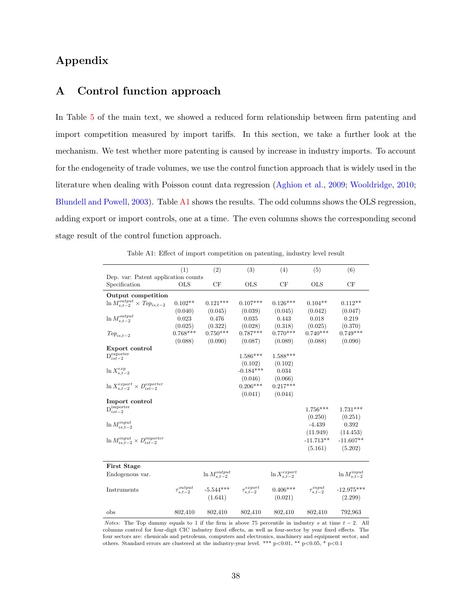# Appendix

# A Control function approach

In Table [5](#page-31-0) of the main text, we showed a reduced form relationship between firm patenting and import competition measured by import tariffs. In this section, we take a further look at the mechanism. We test whether more patenting is caused by increase in industry imports. To account for the endogeneity of trade volumes, we use the control function approach that is widely used in the literature when dealing with Poisson count data regression [\(Aghion et al.,](#page-22-4) [2009;](#page-22-4) [Wooldridge,](#page-25-9) [2010;](#page-25-9) [Blundell and Powell,](#page-23-11) [2003\)](#page-23-11). Table [A1](#page-37-0) shows the results. The odd columns shows the OLS regression, adding export or import controls, one at a time. The even columns shows the corresponding second stage result of the control function approach.

Table A1: Effect of import competition on patenting, industry level result

<span id="page-37-0"></span>

|                                                      | (1)            | (2)                      | (3)                      | (4)                      | (5)                    | (6)                     |
|------------------------------------------------------|----------------|--------------------------|--------------------------|--------------------------|------------------------|-------------------------|
| Dep. var: Patent application counts                  |                |                          |                          |                          |                        |                         |
| Specification                                        | <b>OLS</b>     | CF                       | <b>OLS</b>               | CF                       | <b>OLS</b>             | CF                      |
| Output competition                                   |                |                          |                          |                          |                        |                         |
| $\ln M_{s,t-2}^{output} \times \text{Top}_{is,t-2}$  | $0.102**$      | $0.121***$               | $0.107***$               | $0.126***$               | $0.104**$              | $0.112**$               |
|                                                      | (0.040)        | (0.045)                  | (0.039)                  | (0.045)                  | (0.042)                | (0.047)                 |
| $\ln M_{s,t-2}^{output}$                             | 0.023          | 0.476                    | 0.035                    | 0.443                    | 0.018                  | 0.219                   |
|                                                      | (0.025)        | (0.322)                  | (0.028)                  | (0.318)                  | (0.025)                | (0.370)                 |
| $Top_{is,t-2}$                                       | $0.768***$     | $0.750***$               | $0.787***$               | $0.770***$               | $0.740***$             | $0.749***$              |
|                                                      | (0.088)        | (0.090)                  | (0.087)                  | (0.089)                  | (0.088)                | (0.090)                 |
| Export control                                       |                |                          |                          |                          |                        |                         |
| $\mathcal{D}^{\text{exporter}}_{ist-2}$              |                |                          | $1.586***$               | $1.588***$               |                        |                         |
|                                                      |                |                          | (0.102)                  | (0.102)                  |                        |                         |
| $\ln X_{s.t-2}^{exp}$                                |                |                          | $-0.184***$              | 0.034                    |                        |                         |
|                                                      |                |                          | (0.046)                  | (0.066)                  |                        |                         |
| $\ln X_{s,t-2}^{export} \times D_{ist-2}^{exporter}$ |                |                          | $0.206***$               | $0.217***$               |                        |                         |
|                                                      |                |                          | (0.041)                  | (0.044)                  |                        |                         |
| Import control                                       |                |                          |                          |                          |                        |                         |
| $\overline{\mathrm{D}}_{ist-2}^{\mathrm{importer}}$  |                |                          |                          |                          | $1.756***$             | $1.731***$              |
|                                                      |                |                          |                          |                          | (0.250)                | (0.251)                 |
| $\ln M_{is,t-2}^{input}$                             |                |                          |                          |                          | $-4.439$               | 0.392                   |
|                                                      |                |                          |                          |                          | (11.949)               | (14.453)                |
| $\ln M_{is,t-2}^{input} \times D_{ist-2}^{importer}$ |                |                          |                          |                          | $-11.713**$            | $-11.607**$             |
|                                                      |                |                          |                          |                          |                        |                         |
|                                                      |                |                          |                          |                          | (5.161)                | (5.202)                 |
|                                                      |                |                          |                          |                          |                        |                         |
| <b>First Stage</b>                                   |                |                          |                          |                          |                        |                         |
| Endogenous var.                                      |                | $\ln M_{s,t-2}^{output}$ |                          | $\ln X_{s,t-2}^{expert}$ |                        | $\ln M_{s,t-2}^{input}$ |
| Instruments                                          | output         | $-5.544***$              | export<br>$\tau_{s,t-2}$ | $0.406***$               | $\tau_{s,t-2}^{input}$ | $-12.975***$            |
|                                                      | $\tau_{s.t-2}$ | (1.641)                  |                          | (0.021)                  |                        | (2.299)                 |
|                                                      |                |                          |                          |                          |                        |                         |
| obs                                                  | 802,410        | 802,410                  | 802,410                  | 802,410                  | 802,410                | 792,963                 |

*Notes:* The Top dummy equals to 1 if the firm is above 75 percentile in industry s at time  $t - 2$ . All columns control for four-digit CIC industry fixed effects, as well as four-sector by year fixed effects. The four sectors are: chemicals and petroleum, computers and electronics, machinery and equipment sector, and others. Standard errors are clustered at the industry-year level. \*\*\* p<0.01, \*\* p<0.05, \* p<0.1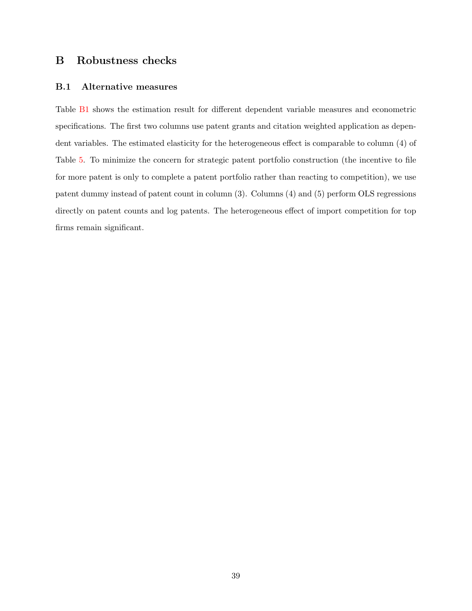# B Robustness checks

## B.1 Alternative measures

Table [B1](#page-39-0) shows the estimation result for different dependent variable measures and econometric specifications. The first two columns use patent grants and citation weighted application as dependent variables. The estimated elasticity for the heterogeneous effect is comparable to column (4) of Table [5.](#page-31-0) To minimize the concern for strategic patent portfolio construction (the incentive to file for more patent is only to complete a patent portfolio rather than reacting to competition), we use patent dummy instead of patent count in column (3). Columns (4) and (5) perform OLS regressions directly on patent counts and log patents. The heterogeneous effect of import competition for top firms remain significant.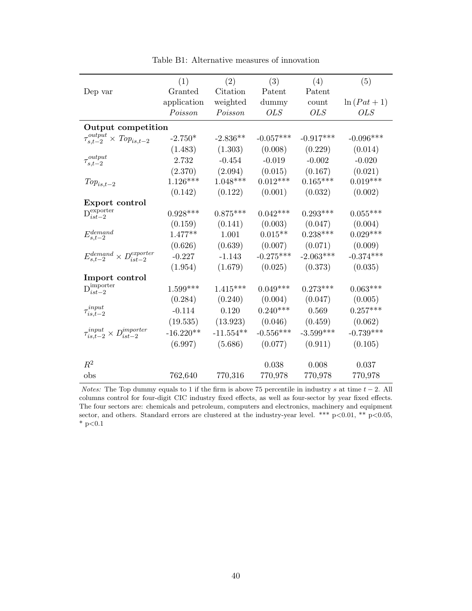<span id="page-39-0"></span>

|                                                     | (1)         | (2)         | (3)         | (4)         | (5)         |
|-----------------------------------------------------|-------------|-------------|-------------|-------------|-------------|
| Dep var                                             | Granted     | Citation    | Patent      | Patent      |             |
|                                                     | application | weighted    | dummy       | count       | $ln(Pat+1)$ |
|                                                     | Poisson     | Poisson     | <b>OLS</b>  | <i>OLS</i>  | <i>OLS</i>  |
| Output competition                                  |             |             |             |             |             |
| $\tau_{s,t-2}^{output}$<br>$\times$ $Top_{is,t-2}$  | $-2.750*$   | $-2.836**$  | $-0.057***$ | $-0.917***$ | $-0.096***$ |
|                                                     | (1.483)     | (1.303)     | (0.008)     | (0.229)     | (0.014)     |
| $\tau_{s,t-2}^{output}$                             | 2.732       | $-0.454$    | $-0.019$    | $-0.002$    | $-0.020$    |
|                                                     | (2.370)     | (2.094)     | (0.015)     | (0.167)     | (0.021)     |
| $Top_{is,t-2}$                                      | $1.126***$  | $1.048***$  | $0.012***$  | $0.165***$  | $0.019***$  |
|                                                     | (0.142)     | (0.122)     | (0.001)     | (0.032)     | (0.002)     |
| Export control                                      |             |             |             |             |             |
| $\mathbf{D}_{ist-2}^{\text{experter}}$              | $0.928***$  | $0.875***$  | $0.042***$  | $0.293***$  | $0.055***$  |
|                                                     | (0.159)     | (0.141)     | (0.003)     | (0.047)     | (0.004)     |
| $E_{s,t-2}^{demand}$                                | $1.477**$   | 1.001       | $0.015**$   | $0.238***$  | $0.029***$  |
|                                                     | (0.626)     | (0.639)     | (0.007)     | (0.071)     | (0.009)     |
| $E_{s,t-2}^{demand} \times D_{ist-2}^{exporter}$    | $-0.227$    | $-1.143$    | $-0.275***$ | $-2.063***$ | $-0.374***$ |
|                                                     | (1.954)     | (1.679)     | (0.025)     | (0.373)     | (0.035)     |
| Import control                                      |             |             |             |             |             |
| $\mathbf{D}_{ist-2}^{\text{importer}}$              | $1.599***$  | $1.415***$  | $0.049***$  | $0.273***$  | $0.063***$  |
|                                                     | (0.284)     | (0.240)     | (0.004)     | (0.047)     | (0.005)     |
| $\tau_{is,t-2}^{input}$                             | $-0.114$    | 0.120       | $0.240***$  | 0.569       | $0.257***$  |
|                                                     | (19.535)    | (13.923)    | (0.046)     | (0.459)     | (0.062)     |
| $\tau_{is,t-2}^{input} \times D_{ist-2}^{importer}$ | $-16.220**$ | $-11.554**$ | $-0.556***$ | $-3.599***$ | $-0.739***$ |
|                                                     | (6.997)     | (5.686)     | (0.077)     | (0.911)     | (0.105)     |
| $R^2$                                               |             |             |             |             |             |
|                                                     |             |             | 0.038       | 0.008       | 0.037       |
| obs                                                 | 762,640     | 770,316     | 770,978     | 770,978     | 770,978     |

Table B1: Alternative measures of innovation

*Notes:* The Top dummy equals to 1 if the firm is above 75 percentile in industry s at time  $t - 2$ . All columns control for four-digit CIC industry fixed effects, as well as four-sector by year fixed effects. The four sectors are: chemicals and petroleum, computers and electronics, machinery and equipment sector, and others. Standard errors are clustered at the industry-year level. \*\*\* p<0.01, \*\* p<0.05,  $^*$  p<0.1  $\,$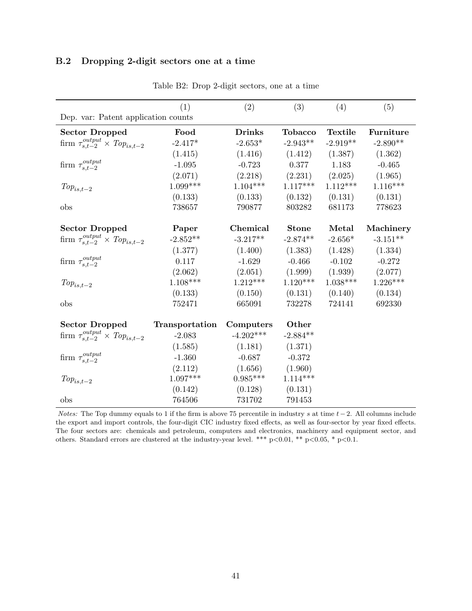# B.2 Dropping 2-digit sectors one at a time

|                                                  | (1)            | (2)           | (3)            | (4)            | (5)        |  |
|--------------------------------------------------|----------------|---------------|----------------|----------------|------------|--|
| Dep. var: Patent application counts              |                |               |                |                |            |  |
| <b>Sector Dropped</b>                            | Food           | <b>Drinks</b> | <b>Tobacco</b> | <b>Textile</b> | Furniture  |  |
| firm $\tau_{s,t-2}^{output} \times Top_{is,t-2}$ | $-2.417*$      | $-2.653*$     | $-2.943**$     | $-2.919**$     | $-2.890**$ |  |
|                                                  | (1.415)        | (1.416)       | (1.412)        | (1.387)        | (1.362)    |  |
| firm $\tau_{s,t-2}^{output}$                     | $-1.095$       | $-0.723$      | 0.377          | 1.183          | $-0.465$   |  |
|                                                  | (2.071)        | (2.218)       | (2.231)        | (2.025)        | (1.965)    |  |
| $Top_{is,t-2}$                                   | $1.099***$     | $1.104***$    | $1.117***$     | $1.112***$     | $1.116***$ |  |
|                                                  | (0.133)        | (0.133)       | (0.132)        | (0.131)        | (0.131)    |  |
| obs                                              | 738657         | 790877        | 803282         | 681173         | 778623     |  |
|                                                  |                |               |                |                |            |  |
| <b>Sector Dropped</b>                            | Paper          | Chemical      | <b>Stone</b>   | Metal          | Machinery  |  |
| firm $\tau_{s,t-2}^{output} \times Top_{is,t-2}$ | $-2.852**$     | $-3.217**$    | $-2.874**$     | $-2.656*$      | $-3.151**$ |  |
|                                                  | (1.377)        | (1.400)       | (1.383)        | (1.428)        | (1.334)    |  |
| firm $\tau_{s,t-2}^{output}$                     | 0.117          | $-1.629$      | $-0.466$       | $-0.102$       | $-0.272$   |  |
|                                                  | (2.062)        | (2.051)       | (1.999)        | (1.939)        | (2.077)    |  |
| $Top_{is,t-2}$                                   | $1.108***$     | $1.212***$    | $1.120***$     | $1.038***$     | $1.226***$ |  |
|                                                  | (0.133)        | (0.150)       | (0.131)        | (0.140)        | (0.134)    |  |
| obs                                              | 752471         | 665091        | 732278         | 724141         | 692330     |  |
|                                                  |                |               |                |                |            |  |
| <b>Sector Dropped</b>                            | Transportation | Computers     | Other          |                |            |  |
| firm $\tau_{s,t-2}^{output} \times Top_{is,t-2}$ | $-2.083$       | $-4.202***$   | $-2.884**$     |                |            |  |
|                                                  | (1.585)        | (1.181)       | (1.371)        |                |            |  |
| firm $\tau_{s,t-2}^{output}$                     | $-1.360$       | $-0.687$      | $-0.372$       |                |            |  |
|                                                  | (2.112)        | (1.656)       | (1.960)        |                |            |  |
| $Top_{is,t-2}$                                   | $1.097***$     | $0.985***$    | $1.114***$     |                |            |  |
|                                                  | (0.142)        | (0.128)       | (0.131)        |                |            |  |
| obs                                              | 764506         | 731702        | 791453         |                |            |  |

Table B2: Drop 2-digit sectors, one at a time

*Notes:* The Top dummy equals to 1 if the firm is above 75 percentile in industry s at time  $t-2$ . All columns include the export and import controls, the four-digit CIC industry fixed effects, as well as four-sector by year fixed effects. The four sectors are: chemicals and petroleum, computers and electronics, machinery and equipment sector, and others. Standard errors are clustered at the industry-year level. \*\*\* p<0.01, \*\* p<0.05, \* p<0.1.